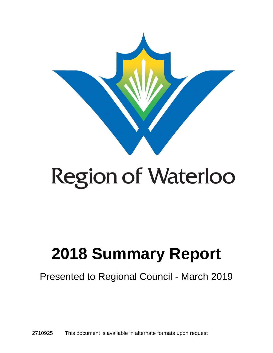

# **Region of Waterloo**

## **2018 Summary Report**

Presented to Regional Council - March 2019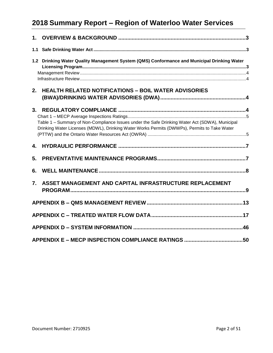| 1. |                                                                                                                                                                                               |  |
|----|-----------------------------------------------------------------------------------------------------------------------------------------------------------------------------------------------|--|
|    |                                                                                                                                                                                               |  |
|    | 1.2 Drinking Water Quality Management System (QMS) Conformance and Municipal Drinking Water                                                                                                   |  |
| 2. | <b>HEALTH RELATED NOTIFICATIONS - BOIL WATER ADVISORIES</b>                                                                                                                                   |  |
| 3. | Table 1 - Summary of Non-Compliance Issues under the Safe Drinking Water Act (SDWA), Municipal<br>Drinking Water Licenses (MDWL), Drinking Water Works Permits (DWWPs), Permits to Take Water |  |
| 4. |                                                                                                                                                                                               |  |
| 5. |                                                                                                                                                                                               |  |
| 6. |                                                                                                                                                                                               |  |
| 7. | ASSET MANAGEMENT AND CAPITAL INFRASTRUCTURE REPLACEMENT                                                                                                                                       |  |
|    |                                                                                                                                                                                               |  |
|    |                                                                                                                                                                                               |  |
|    |                                                                                                                                                                                               |  |
|    |                                                                                                                                                                                               |  |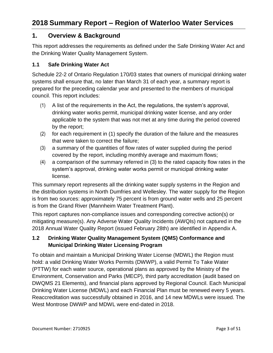#### **1. Overview & Background**

This report addresses the requirements as defined under the Safe Drinking Water Act and the Drinking Water Quality Management System.

#### **1.1 Safe Drinking Water Act**

Schedule 22-2 of Ontario Regulation 170/03 states that owners of municipal drinking water systems shall ensure that, no later than March 31 of each year, a summary report is prepared for the preceding calendar year and presented to the members of municipal council. This report includes:

- (1) A list of the requirements in the Act, the regulations, the system's approval, drinking water works permit, municipal drinking water license, and any order applicable to the system that was not met at any time during the period covered by the report;
- (2) for each requirement in (1) specify the duration of the failure and the measures that were taken to correct the failure;
- (3) a summary of the quantities of flow rates of water supplied during the period covered by the report, including monthly average and maximum flows;
- $(4)$  a comparison of the summary referred in  $(3)$  to the rated capacity flow rates in the system's approval, drinking water works permit or municipal drinking water license.

This summary report represents all the drinking water supply systems in the Region and the distribution systems in North Dumfries and Wellesley. The water supply for the Region is from two sources: approximately 75 percent is from ground water wells and 25 percent is from the Grand River (Mannheim Water Treatment Plant).

This report captures non-compliance issues and corresponding corrective action(s) or mitigating measure(s). Any Adverse Water Quality Incidents (AWQIs) not captured in the 2018 Annual Water Quality Report (issued February 28th) are identified in Appendix A.

#### **1.2 Drinking Water Quality Management System (QMS) Conformance and Municipal Drinking Water Licensing Program**

To obtain and maintain a Municipal Drinking Water License (MDWL) the Region must hold: a valid Drinking Water Works Permits (DWWP), a valid Permit To Take Water (PTTW) for each water source, operational plans as approved by the Ministry of the Environment, Conservation and Parks (MECP), third party accreditation (audit based on DWQMS 21 Elements), and financial plans approved by Regional Council. Each Municipal Drinking Water License (MDWL) and each Financial Plan must be renewed every 5 years. Reaccreditation was successfully obtained in 2016, and 14 new MDWLs were issued. The West Montrose DWWP and MDWL were end-dated in 2018.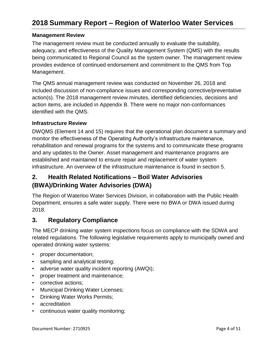#### **Management Review**

 The management review must be conducted annually to evaluate the suitability, adequacy, and effectiveness of the Quality Management System (QMS) with the results provides evidence of continued endorsement and commitment to the QMS from Top Management. being communicated to Regional Council as the system owner. The management review

Management.<br>The QMS annual management review was conducted on November 26, 2018 and action items, are included in Appendix B. There were no major non-conformances identified with the QMS. included discussion of non-compliance issues and corresponding corrective/preventative action(s). The 2018 management review minutes, identified deficiencies, decisions and

#### **Infrastructure Review**

 DWQMS (Element 14 and 15) requires that the operational plan document a summary and and any updates to the Owner. Asset management and maintenance programs are established and maintained to ensure repair and replacement of water system infrastructure. An overview of the infrastructure maintenance is found in section 5. monitor the effectiveness of the Operating Authority's infrastructure maintenance, rehabilitation and renewal programs for the systems and to communicate these programs

#### $2.$  **(BWA)/Drinking Water Advisories (DWA) 2. Health Related Notifications – Boil Water Advisories**

 The Region of Waterloo Water Services Division, in collaboration with the Public Health Department, ensures a safe water supply. There were no BWA or DWA issued during 2018.

#### **3. Regulatory Compliance**

 The MECP drinking water system inspections focus on compliance with the SDWA and related regulations. The following legislative requirements apply to municipally owned and operated drinking water systems:

- proper documentation;
- sampling and analytical testing;
- adverse water quality incident reporting (AWQI);
- proper treatment and maintenance;
- corrective actions;
- Municipal Drinking Water Licenses;
- Drinking Water Works Permits;
- accreditation
- continuous water quality monitoring;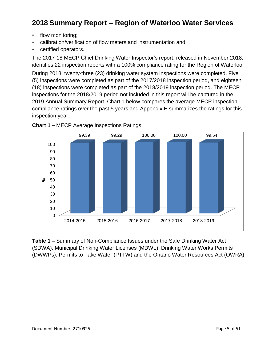- flow monitoring:
- calibration/verification of flow meters and instrumentation and
- certified operators.

 The 2017-18 MECP Chief Drinking Water Inspector's report, released in November 2018, identifies 22 inspection reports with a 100% compliance rating for the Region of Waterloo. (5) inspections were completed as part of the 2017/2018 inspection period, and eighteen (18) inspections were completed as part of the 2018/2019 inspection period. The MECP 2019 Annual Summary Report. Chart 1 below compares the average MECP inspection compliance ratings over the past 5 years and Appendix E summarizes the ratings for this inspection year. During 2018, twenty-three (23) drinking water system inspections were completed. Five inspections for the 2018/2019 period not included in this report will be captured in the



**Chart 1 –** MECP Average Inspections Ratings

 **Table 1 –** Summary of Non-Compliance Issues under the Safe Drinking Water Act (DWWPs), Permits to Take Water (PTTW) and the Ontario Water Resources Act (OWRA) (SDWA), Municipal Drinking Water Licenses (MDWL), Drinking Water Works Permits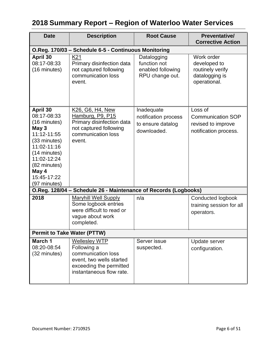| <b>Date</b>                                                                                                                                                                           | <b>Description</b>                                                                                                                           | <b>Root Cause</b>                                                      | Preventative/<br><b>Corrective Action</b>                                          |
|---------------------------------------------------------------------------------------------------------------------------------------------------------------------------------------|----------------------------------------------------------------------------------------------------------------------------------------------|------------------------------------------------------------------------|------------------------------------------------------------------------------------|
|                                                                                                                                                                                       | O.Reg. 170/03 - Schedule 6-5 - Continuous Monitoring                                                                                         |                                                                        |                                                                                    |
| April 30<br>08:17-08:33<br>(16 minutes)                                                                                                                                               | K21<br>Primary disinfection data<br>not captured following<br>communication loss<br>event.                                                   | Datalogging<br>function not<br>enabled following<br>RPU change out.    | Work order<br>developed to<br>routinely verify<br>datalogging is<br>operational.   |
| April 30<br>08:17-08:33<br>(16 minutes)<br>May 3<br>11:12-11:55<br>(33 minutes)<br>11:02-11:16<br>(14 minutes)<br>11:02-12:24<br>(82 minutes)<br>May 4<br>15:45-17:22<br>(97 minutes) | K26, G6, H4, New<br>Hamburg, P9, P15<br>Primary disinfection data<br>not captured following<br>communication loss<br>event.                  | Inadequate<br>notification process<br>to ensure datalog<br>downloaded. | Loss of<br><b>Communication SOP</b><br>revised to improve<br>notification process. |
|                                                                                                                                                                                       | O.Reg. 128/04 - Schedule 26 - Maintenance of Records (Logbooks)                                                                              |                                                                        |                                                                                    |
| 2018                                                                                                                                                                                  | <b>Maryhill Well Supply</b><br>Some logbook entries<br>were difficult to read or<br>vague about work<br>completed.                           | n/a                                                                    | Conducted logbook<br>training session for all<br>operators.                        |
|                                                                                                                                                                                       | <b>Permit to Take Water (PTTW)</b>                                                                                                           |                                                                        |                                                                                    |
| March 1<br>08:20-08:54<br>(32 minutes)                                                                                                                                                | <b>Wellesley WTP</b><br>Following a<br>communication loss<br>event, two wells started<br>exceeding the permitted<br>instantaneous flow rate. | Server issue<br>suspected.                                             | Update server<br>configuration.                                                    |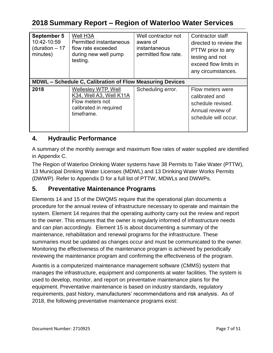| September 5<br>10:42-10:59<br>(duration $-17$<br>minutes) | <b>Well H3A</b><br>Permitted instantaneous<br>flow rate exceeded<br>during new well pump<br>testing.      | Well contractor not<br>aware of<br>instantaneous<br>permitted flow rate. | Contractor staff<br>directed to review the<br>PTTW prior to any<br>testing and not<br>exceed flow limits in |
|-----------------------------------------------------------|-----------------------------------------------------------------------------------------------------------|--------------------------------------------------------------------------|-------------------------------------------------------------------------------------------------------------|
|                                                           |                                                                                                           |                                                                          | any circumstances.                                                                                          |
|                                                           | <b>MDWL – Schedule C, Calibration of Flow Measuring Devices</b>                                           |                                                                          |                                                                                                             |
| 2018                                                      | Wellesley WTP, Well<br>K34, Well A3, Well K11A<br>Flow meters not<br>calibrated in required<br>timeframe. | Scheduling error.                                                        | Flow meters were<br>calibrated and<br>schedule revised.<br>Annual review of<br>schedule will occur.         |

#### **4. Hydraulic Performance**

 A summary of the monthly average and maximum flow rates of water supplied are identified in Appendix C.

 The Region of Waterloo Drinking Water systems have 38 Permits to Take Water (PTTW), 13 Municipal Drinking Water Licenses (MDWL) and 13 Drinking Water Works Permits (DWWP). Refer to Appendix D for a full list of PTTW, MDWLs and DWWPs.

#### **5. Preventative Maintenance Programs**

 and can plan accordingly. Element 15 is about documenting a summary of the reviewing the maintenance program and confirming the effectiveness of the program. Elements 14 and 15 of the DWQMS require that the operational plan documents a procedure for the annual review of infrastructure necessary to operate and maintain the system. Element 14 requires that the operating authority carry out the review and report to the owner. This ensures that the owner is regularly informed of infrastructure needs maintenance, rehabilitation and renewal programs for the infrastructure. These summaries must be updated as changes occur and must be communicated to the owner. Monitoring the effectiveness of the maintenance program is achieved by periodically

 Avantis is a computerized maintenance management software (CMMS) system that used to develop, monitor, and report on preventative maintenance plans for the 2018, the following preventative maintenance programs exist: manages the infrastructure, equipment and components at water facilities. The system is equipment. Preventative maintenance is based on industry standards, regulatory requirements, past history, manufacturers' recommendations and risk analysis. As of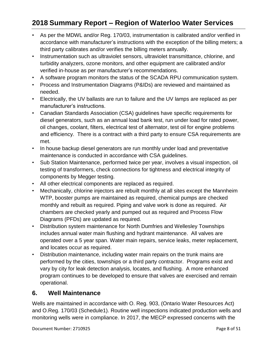- accordance with manufacturer's instructions with the exception of the billing meters; a third party calibrates and/or verifies the billing meters annually. • As per the MDWL and/or Reg. 170/03, instrumentation is calibrated and/or verified in
- Instrumentation such as ultraviolet sensors, ultraviolet transmittance, chlorine, and turbidity analyzers, ozone monitors, and other equipment are calibrated and/or verified in-house as per manufacturer's recommendations.
- A software program monitors the status of the SCADA RPU communication system.
- • Process and Instrumentation Diagrams (P&IDs) are reviewed and maintained as needed.
- • Electrically, the UV ballasts are run to failure and the UV lamps are replaced as per manufacturer's instructions.
- diesel generators, such as an annual load bank test, run under load for rated power, and efficiency. There is a contract with a third party to ensure CSA requirements are • Canadian Standards Association (CSA) guidelines have specific requirements for oil changes, coolant, filters, electrical test of alternator, test oil for engine problems met.
- In house backup diesel generators are run monthly under load and preventative maintenance is conducted in accordance with CSA guidelines.
- Sub Station Maintenance, performed twice per year, involves a visual inspection, oil testing of transformers, check connections for tightness and electrical integrity of components by Megger testing.
- • All other electrical components are replaced as required.
- Mechanically, chlorine injectors are rebuilt monthly at all sites except the Mannheim WTP, booster pumps are maintained as required, chemical pumps are checked monthly and rebuilt as required. Piping and valve work is done as required. Air chambers are checked yearly and pumped out as required and Process Flow Diagrams (PFDs) are updated as required.
- Distribution system maintenance for North Dumfries and Wellesley Townships operated over a 5 year span. Water main repairs, service leaks, meter replacement, includes annual water main flushing and hydrant maintenance. All valves are and locates occur as required.
- performed by the cities, townships or a third party contractor. Programs exist and vary by city for leak detection analysis, locates, and flushing. A more enhanced • Distribution maintenance, including water main repairs on the trunk mains are program continues to be developed to ensure that valves are exercised and remain operational.

#### **6. Well Maintenance**

 and O.Reg. 170/03 (Schedule1). Routine well inspections indicated production wells and monitoring wells were in compliance. In 2017, the MECP expressed concerns with the Wells are maintained in accordance with O. Reg. 903, (Ontario Water Resources Act)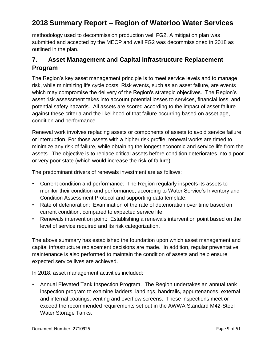outlined in the plan. methodology used to decommission production well FG2. A mitigation plan was submitted and accepted by the MECP and well FG2 was decommissioned in 2018 as

#### **7. Asset Management and Capital Infrastructure Replacement Program**

The Region's key asset management principle is to meet service levels and to manage risk, while minimizing life cycle costs. Risk events, such as an asset failure, are events which may compromise the delivery of the Region's strategic objectives. The Region's asset risk assessment takes into account potential losses to services, financial loss, and potential safety hazards. All assets are scored according to the impact of asset failure against these criteria and the likelihood of that failure occurring based on asset age, condition and performance.

 minimize any risk of failure, while obtaining the longest economic and service life from the assets. The objective is to replace critical assets before condition deteriorates into a poor or very poor state (which would increase the risk of failure). Renewal work involves replacing assets or components of assets to avoid service failure or interruption. For those assets with a higher risk profile, renewal works are timed to

The predominant drivers of renewals investment are as follows:

- monitor their condition and performance, according to Water Service's Inventory and • Current condition and performance: The Region regularly inspects its assets to Condition Assessment Protocol and supporting data template.
- Rate of deterioration: Examination of the rate of deterioration over time based on current condition, compared to expected service life.
- Renewals intervention point: Establishing a renewals intervention point based on the level of service required and its risk categorization.

 maintenance is also performed to maintain the condition of assets and help ensure The above summary has established the foundation upon which asset management and capital infrastructure replacement decisions are made. In addition, regular preventative expected service lives are achieved.

In 2018, asset management activities included:

• Annual Elevated Tank Inspection Program. The Region undertakes an annual tank exceed the recommended requirements set out in the AWWA Standard M42-Steel Water Storage Tanks. inspection program to examine ladders, landings, handrails, appurtenances, external and internal coatings, venting and overflow screens. These inspections meet or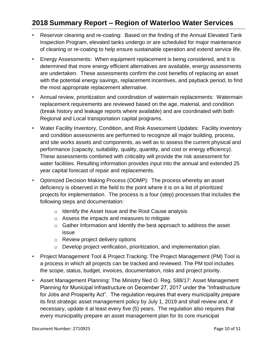- Reservoir cleaning and re-coating: Based on the finding of the Annual Elevated Tank of cleaning or re-coating to help ensure sustainable operation and extend service life. Inspection Program, elevated tanks undergo or are scheduled for major maintenance
- of cleaning or re-coating to help ensure sustainable operation and extend service life.<br>• Energy Assessments: When equipment replacement is being considered, and it is are undertaken. These assessments confirm the cost benefits of replacing an asset with the potential energy savings, replacement incentives, and payback period, to find determined that more energy efficient alternatives are available, energy assessments the most appropriate replacement alternative.
- Annual review, prioritization and coordination of watermain replacements: Watermain replacement requirements are reviewed based on the age, material, and condition (break history and leakage reports where available) and are coordinated with both Regional and Local transportation capital programs.
- Water Facility Inventory, Condition, and Risk Assessment Updates: Facility inventory and condition assessments are performed to recognize all major building, process, and site works assets and components, as well as to assess the current physical and performance (capacity, suitability, quality, quantity, and cost or energy efficiency). These assessments combined with criticality will provide the risk assessment for water facilities. Resulting information provides input into the annual and extended 25 year capital forecast of repair and replacements.
- deficiency is observed in the field to the point where it is on a list of prioritized projects for implementation. The process is a four (step) processes that includes the • Optimized Decision Making Process (ODMP): The process whereby an asset following steps and documentation:
	- $\circ$  Identify the Asset Issue and the Root Cause analysis
	- $\circ$  Assess the impacts and measures to mitigate
	- $\circ$  Gather Information and Identify the best approach to address the asset issue
	- $\circ$  Review project delivery options
	- $\circ$  Develop project verification, prioritization, and implementation plan.
- • Project Management Tool & Project Tracking: The Project Management (PM) Tool is a process in which all projects can be tracked and reviewed. The PM tool includes the scope, status, budget, invoices, documentation, risks and project priority.
- its first strategic asset management policy by July 1, 2019 and shall review and, if Asset Management Planning: The Ministry filed O. Reg. 588/17: Asset Management Planning for Municipal Infrastructure on December 27, 2017 under the "Infrastructure for Jobs and Prosperity Act". The regulation requires that every municipality prepare necessary, update it at least every five (5) years. The regulation also requires that every municipality prepare an asset management plan for its core municipal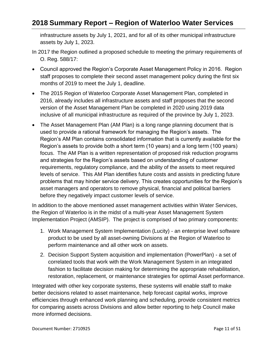assets by July 1, 2023. infrastructure assets by July 1, 2021, and for all of its other municipal infrastructure

- In 2017 the Region outlined a proposed schedule to meeting the primary requirements of O. Reg. 588/17:
- Council approved the Region's Corporate Asset Management Policy in 2016. Region staff proposes to complete their second asset management policy during the first six months of 2019 to meet the July 1, deadline.
- 2016, already includes all infrastructure assets and staff proposes that the second version of the Asset Management Plan be completed in 2020 using 2019 data The 2015 Region of Waterloo Corporate Asset Management Plan, completed in inclusive of all municipal infrastructure as required of the province by July 1, 2023.
- used to provide a rational framework for managing the Region's assets. The focus. The AM Plan is a written representation of proposed risk reduction programs levels of service. This AM Plan identifies future costs and assists in predicting future before they negatively impact customer levels of service. • The Asset Management Plan (AM Plan) is a long range planning document that is Region's AM Plan contains consolidated information that is currently available for the Region's assets to provide both a short term (10 years) and a long term (100 years) and strategies for the Region's assets based on understanding of customer requirements, regulatory compliance, and the ability of the assets to meet required problems that may hinder service delivery. This creates opportunities for the Region's asset managers and operators to remove physical, financial and political barriers

 the Region of Waterloo is in the midst of a multi-year Asset Management System In addition to the above mentioned asset management activities within Water Services, Implementation Project (AMSIP). The project is comprised of two primary components:

- product to be used by all asset-owning Divisions at the Region of Waterloo to perform maintenance and all other work on assets. 1. Work Management System Implementation (Lucity) - an enterprise level software
- 2. Decision Support System acquisition and implementation (PowerPlan) a set of correlated tools that work with the Work Management System in an integrated fashion to facilitate decision making for determining the appropriate rehabilitation, restoration, replacement, or maintenance strategies for optimal Asset performance.

 for comparing assets across Divisions and allow better reporting to help Council make more informed decisions. Integrated with other key corporate systems, these systems will enable staff to make better decisions related to asset maintenance, help forecast capital works, improve efficiencies through enhanced work planning and scheduling, provide consistent metrics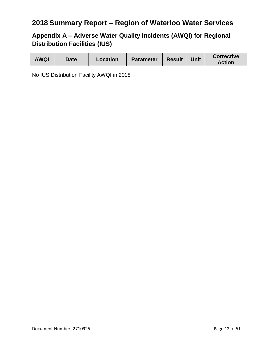## **Appendix A – Adverse Water Quality Incidents (AWQI) for Regional Distribution Facilities (IUS)**

| <b>AWQI</b> | <b>Date</b> | Location                                  | <b>Parameter</b> | <b>Result</b> | <b>Unit</b> | <b>Corrective</b><br><b>Action</b> |
|-------------|-------------|-------------------------------------------|------------------|---------------|-------------|------------------------------------|
|             |             | No IUS Distribution Facility AWQI in 2018 |                  |               |             |                                    |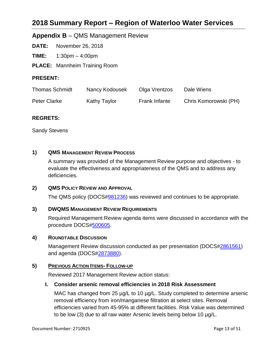#### **Appendix B** – QMS Management Review

**DATE:** November 26, 2018

TIME: **TIME:** 1:30pm – 4:00pm

**PLACE:** Mannheim Training Room

#### **PRESENT:**

| <b>Thomas Schmidt</b> | Nancy Kodousek | Olga Vrentzos        | Dale Wiens            |
|-----------------------|----------------|----------------------|-----------------------|
| Peter Clarke          | Kathy Taylor   | <b>Frank Infante</b> | Chris Komorowski (PH) |

#### **REGRETS:**

Sandy Stevens

#### **1) QMS MANAGEMENT REVIEW PROCESS**

A summary was provided of the Management Review purpose and objectives - to evaluate the effectiveness and appropriateness of the QMS and to address any deficiencies.

#### **2) QMS POLICY REVIEW AND APPROVAL**

The QMS policy (DOCS[#981236\)](pcdocs://DOCS_ADMIN/981236/R) was reviewed and continues to be appropriate.

#### **3) DWQMS MANAGEMENT REVIEW REQUIREMENTS**

Required Management Review agenda items were discussed in accordance with the procedure DOCS[#500605.](pcdocs://DOCS_ADMIN/500605/R)

#### **4) ROUNDTABLE DISCUSSION**

Management Review discussion conducted as per presentation (DOCS[#2861561\)](pcdocs://DOCS_ADMIN/2861561/R) and agenda (DOCS[#2873880\)](pcdocs://DOCS_ADMIN/2873880/R).

#### **5) PREVIOUS ACTION ITEMS- FOLLOW-UP**

Reviewed 2017 Management Review action status:

#### **I. Consider arsenic removal efficiencies in 2018 Risk Assessment**

MAC has changed from 25  $\mu$ g/L to 10  $\mu$ g/L. Study completed to determine arsenic removal efficiency from iron/manganese filtration at select sites. Removal efficiencies varied from 45-95% at different facilities. Risk Value was determined to be low (3) due to all raw water Arsenic levels being below 10 µg/L.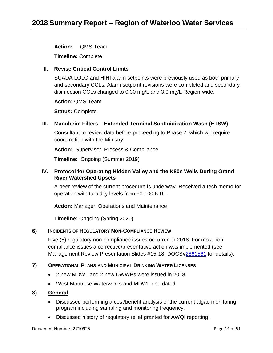**Action:** QMS Team

**Timeline:** Complete

#### **II. Revise Critical Control Limits**

SCADA LOLO and HIHI alarm setpoints were previously used as both primary and secondary CCLs. Alarm setpoint revisions were completed and secondary disinfection CCLs changed to 0.30 mg/L and 3.0 mg/L Region-wide.

**Action:** QMS Team

**Status:** Complete

#### **III. Mannheim Filters – Extended Terminal Subfluidization Wash (ETSW)**

Consultant to review data before proceeding to Phase 2, which will require coordination with the Ministry.

**Action:** Supervisor, Process & Compliance

**Timeline:** Ongoing (Summer 2019)

#### **IV. Protocol for Operating Hidden Valley and the K80s Wells During Grand River Watershed Upsets**

A peer review of the current procedure is underway. Received a tech memo for operation with turbidity levels from 50-100 NTU.

**Action:** Manager, Operations and Maintenance

**Timeline:** Ongoing (Spring 2020)

#### **6) INCIDENTS OF REGULATORY NON-COMPLIANCE REVIEW**

Five (5) regulatory non-compliance issues occurred in 2018. For most non compliance issues a corrective/preventative action was implemented (see Management Review Presentation Slides #15-18, DOCS[#2861561](pcdocs://DOCS_ADMIN/2861561/R) for details). ֚֚֡

#### **7) OPERATIONAL PLANS AND MUNICIPAL DRINKING WATER LICENSES**

- 2 new MDWL and 2 new DWWPs were issued in 2018.
- West Montrose Waterworks and MDWL end dated.

#### **8) General**

- Discussed performing a cost/benefit analysis of the current algae monitoring program including sampling and monitoring frequency.
- Discussed history of regulatory relief granted for AWQI reporting.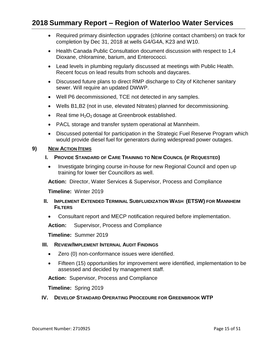- Required primary disinfection upgrades (chlorine contact chambers) on track for completion by Dec 31, 2018 at wells G4/G4A, K23 and W10.
- Health Canada Public Consultation document discussion with respect to 1,4 Dioxane, chloramine, barium, and Enterococci.
- Lead levels in plumbing regularly discussed at meetings with Public Health. Recent focus on lead results from schools and daycares.
- Discussed future plans to direct RMP discharge to City of Kitchener sanitary sewer. Will require an updated DWWP.
- Well P6 decommissioned, TCE not detected in any samples.
- Wells B1,B2 (not in use, elevated Nitrates) planned for decommissioning.
- Real time  $H_2O_2$  dosage at Greenbrook established.
- PACL storage and transfer system operational at Mannheim.
- Discussed potential for participation in the Strategic Fuel Reserve Program which would provide diesel fuel for generators during widespread power outages.

#### **9) NEW ACTION ITEMS**

- **I.** PROVIDE STANDARD OF CARE TRAINING TO NEW COUNCIL (IF REQUESTED)
	- Investigate bringing course in-house for new Regional Council and open up training for lower tier Councillors as well.

**Action:** Director, Water Services & Supervisor, Process and Compliance

**Timeline:** Winter 2019

- **II. IMPLEMENT EXTENDED TERMINAL SUBFLUIDIZATION WASH (ETSW) FOR MANNHEIM FILTERS** 
	- Consultant report and MECP notification required before implementation.

**Action:** Supervisor, Process and Compliance

**Timeline:** Summer 2019

#### **III. REVIEW/IMPLEMENT INTERNAL AUDIT FINDINGS**

- Zero (0) non-conformance issues were identified.
- Fifteen (15) opportunities for improvement were identified, implementation to be assessed and decided by management staff.

**Action:** Supervisor, Process and Compliance

**Timeline:** Spring 2019

#### **IV. DEVELOP STANDARD OPERATING PROCEDURE FOR GREENBROOK WTP**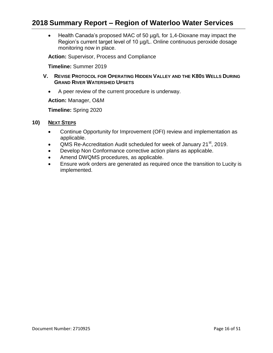• Health Canada's proposed MAC of 50 µg/L for 1,4-Dioxane may impact the Region's current target level of 10 µg/L. Online continuous peroxide dosage monitoring now in place.

**Action:** Supervisor, Process and Compliance

**Timeline:** Summer 2019

- **V. REVISE PROTOCOL FOR OPERATING HIDDEN VALLEY AND THE K80S WELLS DURING GRAND RIVER WATERSHED UPSETS** 
	- A peer review of the current procedure is underway.

**Action:** Manager, O&M

**Timeline:** Spring 2020

- **10) NEXT STEPS** 
	- Continue Opportunity for Improvement (OFI) review and implementation as applicable.
	- QMS Re-Accreditation Audit scheduled for week of January 21 $^{\rm st}$ , 2019.
	- Develop Non Conformance corrective action plans as applicable.
	- Amend DWQMS procedures, as applicable.
	- Ensure work orders are generated as required once the transition to Lucity is implemented.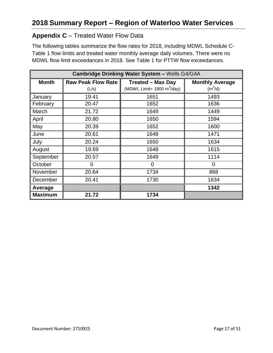#### **Appendix C** – Treated Water Flow Data

The following tables summarize the flow rates for 2018, including MDWL Schedule C-Table 1 flow limits and treated water monthly average daily volumes. There were no MDWL flow limit exceedances in 2018. See Table 1 for PTTW flow exceedances.

| Cambridge Drinking Water System - Wells G4/G4A |                           |                                              |                        |  |  |
|------------------------------------------------|---------------------------|----------------------------------------------|------------------------|--|--|
| <b>Month</b>                                   | <b>Raw Peak Flow Rate</b> | <b>Treated - Max Day</b>                     | <b>Monthly Average</b> |  |  |
|                                                | (L/s)                     | (MDWL Limit= $1900 \text{ m}^3/\text{day}$ ) | $(m^3/d)$              |  |  |
| January                                        | 19.41                     | 1651                                         | 1493                   |  |  |
| February                                       | 20.47                     | 1652                                         | 1636                   |  |  |
| March                                          | 21.72                     | 1649                                         | 1449                   |  |  |
| April                                          | 20.80                     | 1650                                         | 1594                   |  |  |
| May                                            | 20.39                     | 1652                                         | 1600                   |  |  |
| June                                           | 20.61                     | 1648                                         | 1471                   |  |  |
| July                                           | 20.24                     | 1650                                         | 1634                   |  |  |
| August                                         | 19.69                     | 1648                                         | 1615                   |  |  |
| September                                      | 20.57                     | 1649                                         | 1114                   |  |  |
| October                                        | 0                         | 0                                            | 0                      |  |  |
| November                                       | 20.64                     | 1734                                         | 868                    |  |  |
| December                                       | 20.41                     | 1730                                         | 1634                   |  |  |
| Average                                        |                           |                                              | 1342                   |  |  |
| <b>Maximum</b>                                 | 21.72                     | 1734                                         |                        |  |  |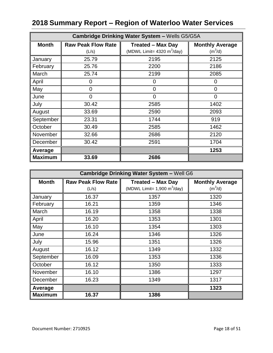| <b>Cambridge Drinking Water System - Wells G5/G5A</b> |                           |                                              |                        |  |  |
|-------------------------------------------------------|---------------------------|----------------------------------------------|------------------------|--|--|
| <b>Month</b>                                          | <b>Raw Peak Flow Rate</b> | <b>Treated - Max Day</b>                     | <b>Monthly Average</b> |  |  |
|                                                       | (L/s)                     | (MDWL Limit= $4320 \text{ m}^3/\text{day}$ ) | $(m^3/d)$              |  |  |
| January                                               | 25.79                     | 2195                                         | 2125                   |  |  |
| February                                              | 25.76                     | 2200                                         | 2186                   |  |  |
| March                                                 | 25.74                     | 2199                                         | 2085                   |  |  |
| April                                                 | 0                         | 0                                            | 0                      |  |  |
| May                                                   | 0                         | $\overline{0}$                               | 0                      |  |  |
| June                                                  | 0                         | $\overline{0}$                               | 0                      |  |  |
| July                                                  | 30.42                     | 2585                                         | 1402                   |  |  |
| August                                                | 33.69                     | 2590                                         | 2093                   |  |  |
| September                                             | 23.31                     | 1744                                         | 919                    |  |  |
| October                                               | 30.49                     | 2585                                         | 1462                   |  |  |
| November                                              | 32.66                     | 2686                                         | 2120                   |  |  |
| December                                              | 30.42                     | 2591                                         | 1704                   |  |  |
| Average                                               |                           |                                              | 1253                   |  |  |
| <b>Maximum</b>                                        | 33.69                     | 2686                                         |                        |  |  |

| <b>Cambridge Drinking Water System - Well G6</b> |                           |                                               |                        |  |  |
|--------------------------------------------------|---------------------------|-----------------------------------------------|------------------------|--|--|
| <b>Month</b>                                     | <b>Raw Peak Flow Rate</b> | <b>Treated - Max Day</b>                      | <b>Monthly Average</b> |  |  |
|                                                  | (L/s)                     | (MDWL Limit= $1,900 \text{ m}^3/\text{day}$ ) | $(m^3/d)$              |  |  |
| January                                          | 16.37                     | 1357                                          | 1320                   |  |  |
| February                                         | 16.21                     | 1359                                          | 1346                   |  |  |
| March                                            | 16.19                     | 1358                                          | 1338                   |  |  |
| April                                            | 16.20                     | 1353                                          | 1301                   |  |  |
| May                                              | 16.10                     | 1354                                          | 1303                   |  |  |
| June                                             | 16.24                     | 1346                                          | 1326                   |  |  |
| July                                             | 15.96                     | 1351                                          | 1326                   |  |  |
| August                                           | 16.12                     | 1349                                          | 1332                   |  |  |
| September                                        | 16.09                     | 1353                                          | 1336                   |  |  |
| October                                          | 16.12                     | 1350                                          | 1333                   |  |  |
| November                                         | 16.10                     | 1386                                          | 1297                   |  |  |
| December                                         | 16.23                     | 1349                                          | 1317                   |  |  |
| Average                                          |                           |                                               | 1323                   |  |  |
| <b>Maximum</b>                                   | 16.37                     | 1386                                          |                        |  |  |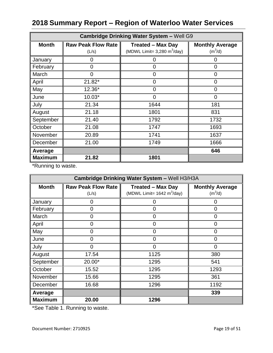| <b>Cambridge Drinking Water System - Well G9</b> |                                    |                                                                           |                                     |  |  |
|--------------------------------------------------|------------------------------------|---------------------------------------------------------------------------|-------------------------------------|--|--|
| <b>Month</b>                                     | <b>Raw Peak Flow Rate</b><br>(L/s) | <b>Treated - Max Day</b><br>(MDWL Limit= $3,280 \text{ m}^3/\text{day}$ ) | <b>Monthly Average</b><br>$(m^3/d)$ |  |  |
| January                                          | 0                                  | 0                                                                         | $\Omega$                            |  |  |
| February                                         | $\mathbf 0$                        | 0                                                                         | $\overline{0}$                      |  |  |
| March                                            | $\Omega$                           | 0                                                                         | 0                                   |  |  |
| April                                            | 21.82*                             | 0                                                                         | 0                                   |  |  |
| May                                              | 12.36*                             | 0                                                                         | $\overline{0}$                      |  |  |
| June                                             | $10.03*$                           | 0                                                                         | 0                                   |  |  |
| July                                             | 21.34                              | 1644                                                                      | 181                                 |  |  |
| August                                           | 21.18                              | 1801                                                                      | 831                                 |  |  |
| September                                        | 21.40                              | 1792                                                                      | 1732                                |  |  |
| October                                          | 21.08                              | 1747                                                                      | 1693                                |  |  |
| November                                         | 20.89                              | 1741                                                                      | 1637                                |  |  |
| December                                         | 21.00                              | 1749                                                                      | 1666                                |  |  |
| Average                                          |                                    |                                                                           | 646                                 |  |  |
| <b>Maximum</b>                                   | 21.82                              | 1801                                                                      |                                     |  |  |

\*Running to waste.

| Cambridge Drinking Water System - Well H3/H3A |                           |                                              |                        |  |  |
|-----------------------------------------------|---------------------------|----------------------------------------------|------------------------|--|--|
| <b>Month</b>                                  | <b>Raw Peak Flow Rate</b> | <b>Treated - Max Day</b>                     | <b>Monthly Average</b> |  |  |
|                                               | (L/s)                     | (MDWL Limit= $1642 \text{ m}^3/\text{day}$ ) | $(m^3/d)$              |  |  |
| January                                       | 0                         |                                              | ( )                    |  |  |
| February                                      | 0                         | 0                                            | 0                      |  |  |
| March                                         | $\overline{0}$            | 0                                            | 0                      |  |  |
| April                                         | 0                         | 0                                            | 0                      |  |  |
| May                                           | 0                         | 0                                            | 0                      |  |  |
| June                                          | 0                         | 0                                            | 0                      |  |  |
| July                                          | $\overline{0}$            | $\overline{0}$                               | 0                      |  |  |
| August                                        | 17.54                     | 1125                                         | 380                    |  |  |
| September                                     | 20.00*                    | 1295                                         | 541                    |  |  |
| October                                       | 15.52                     | 1295                                         | 1293                   |  |  |
| November                                      | 15.66                     | 1295                                         | 361                    |  |  |
| December                                      | 16.68                     | 1296                                         | 1192                   |  |  |
| Average                                       |                           |                                              | 339                    |  |  |
| <b>Maximum</b>                                | 20.00                     | 1296                                         |                        |  |  |

\*See Table 1. Running to waste.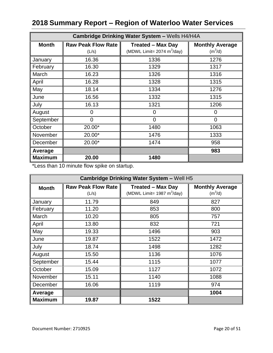| Cambridge Drinking Water System - Wells H4/H4A |                           |                                              |                        |  |  |
|------------------------------------------------|---------------------------|----------------------------------------------|------------------------|--|--|
| <b>Month</b>                                   | <b>Raw Peak Flow Rate</b> | <b>Treated - Max Day</b>                     | <b>Monthly Average</b> |  |  |
|                                                | (L/s)                     | (MDWL Limit= $2074 \text{ m}^3/\text{day}$ ) | $(m^3/d)$              |  |  |
| January                                        | 16.36                     | 1336                                         | 1276                   |  |  |
| February                                       | 16.30                     | 1329                                         | 1317                   |  |  |
| March                                          | 16.23                     | 1326                                         | 1316                   |  |  |
| April                                          | 16.28                     | 1328                                         | 1315                   |  |  |
| May                                            | 18.14                     | 1334                                         | 1276                   |  |  |
| June                                           | 16.56                     | 1332                                         | 1315                   |  |  |
| July                                           | 16.13                     | 1321                                         | 1206                   |  |  |
| August                                         | 0                         | $\Omega$                                     | 0                      |  |  |
| September                                      | $\overline{0}$            | $\overline{0}$                               | $\Omega$               |  |  |
| October                                        | 20.00*                    | 1480                                         | 1063                   |  |  |
| November                                       | 20.00*                    | 1476                                         | 1333                   |  |  |
| December                                       | 20.00*                    | 1474                                         | 958                    |  |  |
| Average                                        |                           |                                              | 983                    |  |  |
| <b>Maximum</b>                                 | 20.00                     | 1480                                         |                        |  |  |

\*Less than 10 minute flow spike on startup.

| <b>Cambridge Drinking Water System - Well H5</b> |                           |                               |                        |  |  |
|--------------------------------------------------|---------------------------|-------------------------------|------------------------|--|--|
| <b>Month</b>                                     | <b>Raw Peak Flow Rate</b> | <b>Treated - Max Day</b>      | <b>Monthly Average</b> |  |  |
|                                                  | (L/s)                     | (MDWL Limit= 1987 $m^3$ /day) | $(m^3/d)$              |  |  |
| January                                          | 11.79                     | 849                           | 827                    |  |  |
| February                                         | 11.20                     | 853                           | 800                    |  |  |
| March                                            | 10.20                     | 805                           | 757                    |  |  |
| April                                            | 13.80                     | 832                           | 721                    |  |  |
| May                                              | 19.33                     | 1496                          | 903                    |  |  |
| June                                             | 19.87                     | 1522                          | 1472                   |  |  |
| July                                             | 18.74                     | 1498                          | 1282                   |  |  |
| August                                           | 15.50                     | 1136                          | 1076                   |  |  |
| September                                        | 15.44                     | 1115                          | 1077                   |  |  |
| October                                          | 15.09                     | 1127                          | 1072                   |  |  |
| November                                         | 15.11                     | 1140                          | 1088                   |  |  |
| December                                         | 16.06                     | 1119                          | 974                    |  |  |
| Average                                          |                           |                               | 1004                   |  |  |
| <b>Maximum</b>                                   | 19.87                     | 1522                          |                        |  |  |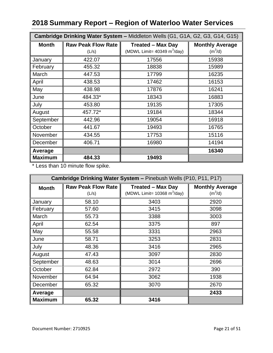| Cambridge Drinking Water System - Middleton Wells (G1, G1A, G2, G3, G14, G15) |                           |                                               |                        |
|-------------------------------------------------------------------------------|---------------------------|-----------------------------------------------|------------------------|
| <b>Month</b>                                                                  | <b>Raw Peak Flow Rate</b> | <b>Treated - Max Day</b>                      | <b>Monthly Average</b> |
|                                                                               | (L/s)                     | (MDWL Limit= $40349 \text{ m}^3/\text{day}$ ) | $(m^3/d)$              |
| January                                                                       | 422.07                    | 17556                                         | 15938                  |
| February                                                                      | 455.32                    | 18838                                         | 15989                  |
| March                                                                         | 447.53                    | 17799                                         | 16235                  |
| April                                                                         | 438.53                    | 17462                                         | 16153                  |
| May                                                                           | 438.98                    | 17876                                         | 16241                  |
| June                                                                          | 484.33*                   | 18343                                         | 16883                  |
| July                                                                          | 453.80                    | 19135                                         | 17305                  |
| August                                                                        | 457.72*                   | 19184                                         | 18344                  |
| September                                                                     | 442.96                    | 19054                                         | 16918                  |
| October                                                                       | 441.67                    | 19493                                         | 16765                  |
| November                                                                      | 434.55                    | 17753                                         | 15116                  |
| December                                                                      | 406.71                    | 16980                                         | 14194                  |
| Average                                                                       |                           |                                               | 16340                  |
| <b>Maximum</b>                                                                | 484.33                    | 19493                                         |                        |

\* Less than 10 minute flow spike.

| Cambridge Drinking Water System - Pinebush Wells (P10, P11, P17) |                           |                                               |                        |
|------------------------------------------------------------------|---------------------------|-----------------------------------------------|------------------------|
| <b>Month</b>                                                     | <b>Raw Peak Flow Rate</b> | <b>Treated - Max Day</b>                      | <b>Monthly Average</b> |
|                                                                  | (L/s)                     | (MDWL Limit= $10368 \text{ m}^3/\text{day}$ ) | $(m^3/d)$              |
| January                                                          | 58.10                     | 3403                                          | 2920                   |
| February                                                         | 57.60                     | 3415                                          | 3098                   |
| March                                                            | 55.73                     | 3388                                          | 3003                   |
| April                                                            | 62.54                     | 3375                                          | 897                    |
| May                                                              | 55.58                     | 3331                                          | 2963                   |
| June                                                             | 58.71                     | 3253                                          | 2831                   |
| July                                                             | 48.36                     | 3416                                          | 2965                   |
| August                                                           | 47.43                     | 3097                                          | 2830                   |
| September                                                        | 48.63                     | 3014                                          | 2696                   |
| October                                                          | 62.84                     | 2972                                          | 390                    |
| November                                                         | 64.94                     | 3062                                          | 1938                   |
| December                                                         | 65.32                     | 3070                                          | 2670                   |
| Average                                                          |                           |                                               | 2433                   |
| <b>Maximum</b>                                                   | 65.32                     | 3416                                          |                        |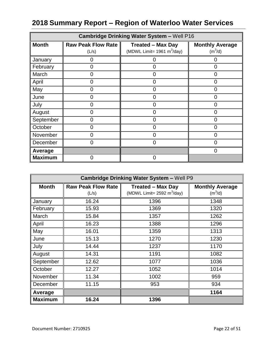| <b>Cambridge Drinking Water System - Well P16</b> |                                    |                                                           |                                     |
|---------------------------------------------------|------------------------------------|-----------------------------------------------------------|-------------------------------------|
| <b>Month</b>                                      | <b>Raw Peak Flow Rate</b><br>(L/s) | <b>Treated - Max Day</b><br>(MDWL Limit= 1961 $m^3$ /day) | <b>Monthly Average</b><br>$(m^3/d)$ |
| January                                           | 0                                  | O                                                         | 0                                   |
| February                                          | 0                                  | 0                                                         | $\Omega$                            |
| March                                             | 0                                  | O                                                         | 0                                   |
| April                                             | 0                                  | O                                                         | O                                   |
| May                                               | 0                                  | 0                                                         | 0                                   |
| June                                              | Ω                                  | 0                                                         |                                     |
| July                                              | 0                                  | O                                                         | 0                                   |
| August                                            | 0                                  | 0                                                         | 0                                   |
| September                                         | 0                                  | 0                                                         | 0                                   |
| October                                           | 0                                  | በ                                                         | 0                                   |
| November                                          | 0                                  | 0                                                         | ი                                   |
| December                                          | 0                                  | 0                                                         | 0                                   |
| Average                                           |                                    |                                                           | 0                                   |
| <b>Maximum</b>                                    | 0                                  | 0                                                         |                                     |

| <b>Cambridge Drinking Water System - Well P9</b> |                                    |                                                                          |                                               |
|--------------------------------------------------|------------------------------------|--------------------------------------------------------------------------|-----------------------------------------------|
| <b>Month</b>                                     | <b>Raw Peak Flow Rate</b><br>(L/s) | <b>Treated - Max Day</b><br>(MDWL Limit= $2592 \text{ m}^3/\text{day}$ ) | <b>Monthly Average</b><br>(m <sup>3</sup> /d) |
| January                                          | 16.24                              | 1396                                                                     | 1348                                          |
| February                                         | 15.93                              | 1369                                                                     | 1320                                          |
| March                                            | 15.84                              | 1357                                                                     | 1262                                          |
| April                                            | 16.23                              | 1388                                                                     | 1296                                          |
| May                                              | 16.01                              | 1359                                                                     | 1313                                          |
| June                                             | 15.13                              | 1270                                                                     | 1230                                          |
| July                                             | 14.44                              | 1237                                                                     | 1170                                          |
| August                                           | 14.31                              | 1191                                                                     | 1082                                          |
| September                                        | 12.62                              | 1077                                                                     | 1036                                          |
| October                                          | 12.27                              | 1052                                                                     | 1014                                          |
| November                                         | 11.34                              | 1002                                                                     | 959                                           |
| December                                         | 11.15                              | 953                                                                      | 934                                           |
| Average                                          |                                    |                                                                          | 1164                                          |
| <b>Maximum</b>                                   | 16.24                              | 1396                                                                     |                                               |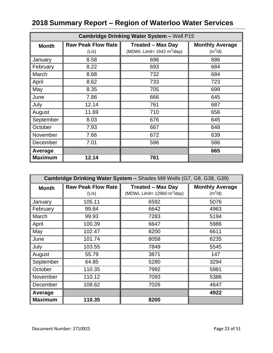| <b>Cambridge Drinking Water System - Well P15</b> |                                    |                                                                          |                                     |
|---------------------------------------------------|------------------------------------|--------------------------------------------------------------------------|-------------------------------------|
| <b>Month</b>                                      | <b>Raw Peak Flow Rate</b><br>(L/s) | <b>Treated - Max Day</b><br>(MDWL Limit= $1642 \text{ m}^3/\text{day}$ ) | <b>Monthly Average</b><br>$(m^3/d)$ |
| January                                           | 8.58                               | 696                                                                      | 686                                 |
| February                                          | 8.22                               | 693                                                                      | 684                                 |
| March                                             | 8.68                               | 732                                                                      | 684                                 |
| April                                             | 8.62                               | 733                                                                      | 723                                 |
| May                                               | 8.35                               | 705                                                                      | 699                                 |
| June                                              | 7.86                               | 666                                                                      | 645                                 |
| July                                              | 12.14                              | 761                                                                      | 687                                 |
| August                                            | 11.69                              | 710                                                                      | 656                                 |
| September                                         | 8.03                               | 676                                                                      | 645                                 |
| October                                           | 7.93                               | 667                                                                      | 648                                 |
| November                                          | 7.66                               | 672                                                                      | 639                                 |
| December                                          | 7.01                               | 596                                                                      | 586                                 |
| Average                                           |                                    |                                                                          | 665                                 |
| <b>Maximum</b>                                    | 12.14                              | 761                                                                      |                                     |

| Cambridge Drinking Water System - Shades Mill Wells (G7, G8, G38, G39) |                           |                                |                        |
|------------------------------------------------------------------------|---------------------------|--------------------------------|------------------------|
| <b>Month</b>                                                           | <b>Raw Peak Flow Rate</b> | <b>Treated - Max Day</b>       | <b>Monthly Average</b> |
|                                                                        | (L/s)                     | (MDWL Limit= 12960 $m^3$ /day) | $(m^3/d)$              |
| January                                                                | 105.11                    | 6592                           | 5076                   |
| February                                                               | 99.84                     | 6642                           | 4963                   |
| March                                                                  | 99.93                     | 7283                           | 5194                   |
| April                                                                  | 100.39                    | 6647                           | 5986                   |
| May                                                                    | 102.47                    | 8200                           | 6611                   |
| June                                                                   | 101.74                    | 8058                           | 6235                   |
| July                                                                   | 103.55                    | 7849                           | 5545                   |
| August                                                                 | 55.79                     | 3871                           | 147                    |
| September                                                              | 64.85                     | 5280                           | 3294                   |
| October                                                                | 110.35                    | 7992                           | 5981                   |
| November                                                               | 110.12                    | 7093                           | 5386                   |
| December                                                               | 108.62                    | 7026                           | 4647                   |
| Average                                                                |                           |                                | 4922                   |
| <b>Maximum</b>                                                         | 110.35                    | 8200                           |                        |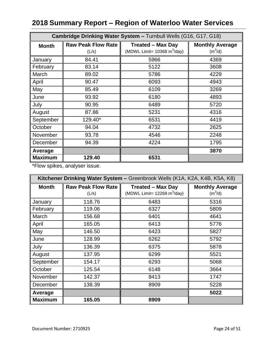| Cambridge Drinking Water System - Turnbull Wells (G16, G17, G18) |                                    |                                                                           |                                     |
|------------------------------------------------------------------|------------------------------------|---------------------------------------------------------------------------|-------------------------------------|
| <b>Month</b>                                                     | <b>Raw Peak Flow Rate</b><br>(L/s) | <b>Treated - Max Day</b><br>(MDWL Limit= $10368 \text{ m}^3/\text{day}$ ) | <b>Monthly Average</b><br>$(m^3/d)$ |
| January                                                          | 84.41                              | 5966                                                                      | 4369                                |
| February                                                         | 83.14                              | 5122                                                                      | 3608                                |
| March                                                            | 89.02                              | 5786                                                                      | 4229                                |
| April                                                            | 90.47                              | 6093                                                                      | 4943                                |
| May                                                              | 85.49                              | 6109                                                                      | 3269                                |
| June                                                             | 93.92                              | 6180                                                                      | 4893                                |
| July                                                             | 90.95                              | 6489                                                                      | 5720                                |
| August                                                           | 87.86                              | 5231                                                                      | 4316                                |
| September                                                        | 129.40*                            | 6531                                                                      | 4419                                |
| October                                                          | 94.04                              | 4732                                                                      | 2625                                |
| November                                                         | 93.78                              | 4546                                                                      | 2248                                |
| December                                                         | 94.39                              | 4224                                                                      | 1795                                |
| Average                                                          |                                    |                                                                           | 3870                                |
| <b>Maximum</b>                                                   | 129.40                             | 6531                                                                      |                                     |

\*Flow spikes, analyser issue.

| Kitchener Drinking Water System - Greenbrook Wells (K1A, K2A, K4B, K5A, K8) |                           |                                               |                        |
|-----------------------------------------------------------------------------|---------------------------|-----------------------------------------------|------------------------|
| <b>Month</b>                                                                | <b>Raw Peak Flow Rate</b> | <b>Treated - Max Day</b>                      | <b>Monthly Average</b> |
|                                                                             | (L/s)                     | (MDWL Limit= $12269 \text{ m}^3/\text{day}$ ) | $(m^3/d)$              |
| January                                                                     | 118.76                    | 6483                                          | 5316                   |
| February                                                                    | 119.06                    | 6327                                          | 5809                   |
| March                                                                       | 156.68                    | 6401                                          | 4641                   |
| April                                                                       | 165.05                    | 6413                                          | 5776                   |
| May                                                                         | 146.50                    | 6423                                          | 5827                   |
| June                                                                        | 128.99                    | 6262                                          | 5792                   |
| July                                                                        | 136.39                    | 6375                                          | 5878                   |
| August                                                                      | 137.95                    | 6299                                          | 5521                   |
| September                                                                   | 154.17                    | 6293                                          | 5068                   |
| October                                                                     | 125.54                    | 6148                                          | 3664                   |
| November                                                                    | 142.37                    | 8413                                          | 1747                   |
| December                                                                    | 138.39                    | 8909                                          | 5228                   |
| Average                                                                     |                           |                                               | 5022                   |
| <b>Maximum</b>                                                              | 165.05                    | 8909                                          |                        |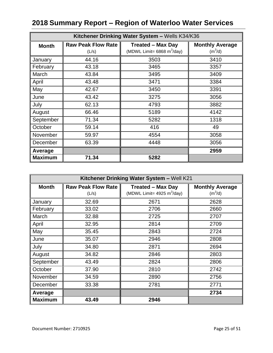| Kitchener Drinking Water System - Wells K34/K36 |                                    |                                                                          |                                     |
|-------------------------------------------------|------------------------------------|--------------------------------------------------------------------------|-------------------------------------|
| <b>Month</b>                                    | <b>Raw Peak Flow Rate</b><br>(L/s) | <b>Treated - Max Day</b><br>(MDWL Limit= $6868 \text{ m}^3/\text{day}$ ) | <b>Monthly Average</b><br>$(m^3/d)$ |
| January                                         | 44.16                              | 3503                                                                     | 3410                                |
| February                                        | 43.18                              | 3465                                                                     | 3357                                |
| March                                           | 43.84                              | 3495                                                                     | 3409                                |
| April                                           | 43.48                              | 3471                                                                     | 3384                                |
| May                                             | 42.67                              | 3450                                                                     | 3391                                |
| June                                            | 43.42                              | 3275                                                                     | 3056                                |
| July                                            | 62.13                              | 4793                                                                     | 3882                                |
| August                                          | 66.46                              | 5189                                                                     | 4142                                |
| September                                       | 71.34                              | 5282                                                                     | 1318                                |
| October                                         | 59.14                              | 416                                                                      | 49                                  |
| November                                        | 59.97                              | 4554                                                                     | 3058                                |
| December                                        | 63.39                              | 4448                                                                     | 3056                                |
| Average                                         |                                    |                                                                          | 2959                                |
| <b>Maximum</b>                                  | 71.34                              | 5282                                                                     |                                     |

| Kitchener Drinking Water System - Well K21 |                           |                               |                        |
|--------------------------------------------|---------------------------|-------------------------------|------------------------|
| <b>Month</b>                               | <b>Raw Peak Flow Rate</b> | <b>Treated - Max Day</b>      | <b>Monthly Average</b> |
|                                            | (L/s)                     | (MDWL Limit= 4925 $m^3$ /day) | $(m^3/d)$              |
| January                                    | 32.69                     | 2671                          | 2628                   |
| February                                   | 33.02                     | 2706                          | 2660                   |
| March                                      | 32.88                     | 2725                          | 2707                   |
| April                                      | 32.95                     | 2814                          | 2709                   |
| May                                        | 35.45                     | 2843                          | 2724                   |
| June                                       | 35.07                     | 2946                          | 2808                   |
| July                                       | 34.80                     | 2871                          | 2694                   |
| August                                     | 34.82                     | 2846                          | 2803                   |
| September                                  | 43.49                     | 2824                          | 2806                   |
| October                                    | 37.90                     | 2810                          | 2742                   |
| November                                   | 34.59                     | 2890                          | 2756                   |
| December                                   | 33.38                     | 2781                          | 2771                   |
| Average                                    |                           |                               | 2734                   |
| <b>Maximum</b>                             | 43.49                     | 2946                          |                        |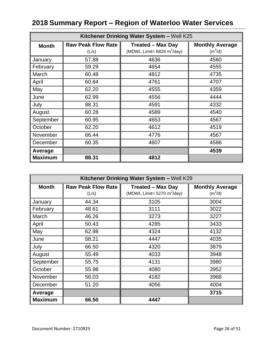| Kitchener Drinking Water System - Well K25 |                                    |                                                                          |                                     |
|--------------------------------------------|------------------------------------|--------------------------------------------------------------------------|-------------------------------------|
| <b>Month</b>                               | <b>Raw Peak Flow Rate</b><br>(L/s) | <b>Treated - Max Day</b><br>(MDWL Limit= $6826 \text{ m}^3/\text{day}$ ) | <b>Monthly Average</b><br>$(m^3/d)$ |
| January                                    | 57.88                              | 4636                                                                     | 4560                                |
| February                                   | 59.29                              | 4654                                                                     | 4555                                |
| March                                      | 60.48                              | 4812                                                                     | 4735                                |
| April                                      | 60.84                              | 4761                                                                     | 4707                                |
| May                                        | 62.20                              | 4555                                                                     | 4359                                |
| June                                       | 62.99                              | 4556                                                                     | 4444                                |
| July                                       | 88.31                              | 4591                                                                     | 4332                                |
| August                                     | 60.28                              | 4589                                                                     | 4540                                |
| September                                  | 60.95                              | 4653                                                                     | 4567                                |
| October                                    | 62.20                              | 4612                                                                     | 4519                                |
| November                                   | 66.44                              | 4776                                                                     | 4567                                |
| December                                   | 60.35                              | 4607                                                                     | 4586                                |
| Average                                    |                                    |                                                                          | 4539                                |
| <b>Maximum</b>                             | 88.31                              | 4812                                                                     |                                     |

| Kitchener Drinking Water System - Well K29 |                           |                                              |                        |
|--------------------------------------------|---------------------------|----------------------------------------------|------------------------|
| <b>Month</b>                               | <b>Raw Peak Flow Rate</b> | <b>Treated - Max Day</b>                     | <b>Monthly Average</b> |
|                                            | (L/s)                     | (MDWL Limit= $5270 \text{ m}^3/\text{day}$ ) | $(m^3/d)$              |
| January                                    | 44.34                     | 3105                                         | 3004                   |
| February                                   | 48.61                     | 3111                                         | 3022                   |
| March                                      | 46.26                     | 3273                                         | 3227                   |
| April                                      | 50.43                     | 4285                                         | 3433                   |
| May                                        | 62.98                     | 4324                                         | 4132                   |
| June                                       | 58.21                     | 4447                                         | 4035                   |
| July                                       | 66.50                     | 4320                                         | 3879                   |
| August                                     | 55.49                     | 4033                                         | 3948                   |
| September                                  | 55.75                     | 4131                                         | 3980                   |
| October                                    | 55.98                     | 4080                                         | 3952                   |
| November                                   | 56.03                     | 4182                                         | 3968                   |
| December                                   | 51.20                     | 4056                                         | 4004                   |
| Average                                    |                           |                                              | 3715                   |
| <b>Maximum</b>                             | 66.50                     | 4447                                         |                        |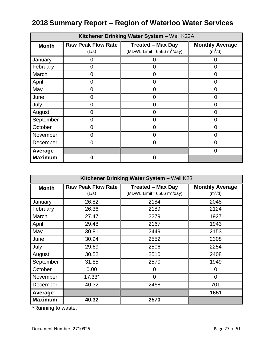| Kitchener Drinking Water System - Well K22A |                                    |                                                           |                                     |
|---------------------------------------------|------------------------------------|-----------------------------------------------------------|-------------------------------------|
| <b>Month</b>                                | <b>Raw Peak Flow Rate</b><br>(L/s) | <b>Treated - Max Day</b><br>(MDWL Limit= 6566 $m^3$ /day) | <b>Monthly Average</b><br>$(m^3/d)$ |
| January                                     | Ω                                  | 0                                                         | 0                                   |
| February                                    | 0                                  | 0                                                         | 0                                   |
| March                                       | 0                                  | O                                                         | 0                                   |
| April                                       | U                                  | ი                                                         | ი                                   |
| May                                         | O                                  | 0                                                         | 0                                   |
| June                                        | O                                  | 0                                                         | 0                                   |
| July                                        | 0                                  | 0                                                         | 0                                   |
| August                                      | 0                                  | 0                                                         | 0                                   |
| September                                   |                                    |                                                           |                                     |
| October                                     | ∩                                  | በ                                                         | N                                   |
| November                                    | O                                  | 0                                                         | 0                                   |
| December                                    | O                                  | 0                                                         |                                     |
| Average                                     |                                    |                                                           | 0                                   |
| <b>Maximum</b>                              | Λ                                  | 0                                                         |                                     |

| Kitchener Drinking Water System - Well K23 |                           |                                        |                        |
|--------------------------------------------|---------------------------|----------------------------------------|------------------------|
| <b>Month</b>                               | <b>Raw Peak Flow Rate</b> | <b>Treated - Max Day</b>               | <b>Monthly Average</b> |
|                                            | (L/s)                     | (MDWL Limit= 6566 m <sup>3</sup> /day) | $(m^3/d)$              |
| January                                    | 26.82                     | 2184                                   | 2048                   |
| February                                   | 26.36                     | 2189                                   | 2124                   |
| March                                      | 27.47                     | 2279                                   | 1927                   |
| April                                      | 29.48                     | 2167                                   | 1943                   |
| May                                        | 30.81                     | 2449                                   | 2153                   |
| June                                       | 30.94                     | 2552                                   | 2308                   |
| July                                       | 29.69                     | 2506                                   | 2254                   |
| August                                     | 30.52                     | 2510                                   | 2408                   |
| September                                  | 31.85                     | 2570                                   | 1949                   |
| October                                    | 0.00                      | 0                                      | 0                      |
| November                                   | 17.33*                    | 0                                      | 0                      |
| December                                   | 40.32                     | 2468                                   | 701                    |
| Average                                    |                           |                                        | 1651                   |
| <b>Maximum</b>                             | 40.32                     | 2570                                   |                        |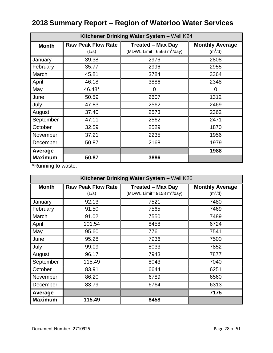| Kitchener Drinking Water System - Well K24 |                           |                               |                        |
|--------------------------------------------|---------------------------|-------------------------------|------------------------|
| <b>Month</b>                               | <b>Raw Peak Flow Rate</b> | <b>Treated - Max Day</b>      | <b>Monthly Average</b> |
|                                            | (L/s)                     | (MDWL Limit= 6566 m $3$ /day) | $(m^3/d)$              |
| January                                    | 39.38                     | 2976                          | 2808                   |
| February                                   | 35.77                     | 2996                          | 2955                   |
| March                                      | 45.81                     | 3784                          | 3364                   |
| April                                      | 46.18                     | 3886                          | 2348                   |
| May                                        | 46.48*                    | 0                             | 0                      |
| June                                       | 50.59                     | 2607                          | 1312                   |
| July                                       | 47.83                     | 2562                          | 2469                   |
| August                                     | 37.40                     | 2573                          | 2362                   |
| September                                  | 47.11                     | 2562                          | 2471                   |
| October                                    | 32.59                     | 2529                          | 1870                   |
| November                                   | 37.21                     | 2235                          | 1956                   |
| December                                   | 50.87                     | 2168                          | 1979                   |
| Average                                    |                           |                               | 1988                   |
| <b>Maximum</b>                             | 50.87                     | 3886                          |                        |

| Kitchener Drinking Water System - Well K26 |                           |                                              |                        |
|--------------------------------------------|---------------------------|----------------------------------------------|------------------------|
| <b>Month</b>                               | <b>Raw Peak Flow Rate</b> | <b>Treated - Max Day</b>                     | <b>Monthly Average</b> |
|                                            | (L/s)                     | (MDWL Limit= $9158 \text{ m}^3/\text{day}$ ) | (m <sup>3</sup> /d)    |
| January                                    | 92.13                     | 7521                                         | 7480                   |
| February                                   | 91.50                     | 7565                                         | 7469                   |
| March                                      | 91.02                     | 7550                                         | 7489                   |
| April                                      | 101.54                    | 8458                                         | 6724                   |
| May                                        | 95.60                     | 7761                                         | 7541                   |
| June                                       | 95.28                     | 7936                                         | 7500                   |
| July                                       | 99.09                     | 8033                                         | 7852                   |
| August                                     | 96.17                     | 7943                                         | 7877                   |
| September                                  | 115.49                    | 8043                                         | 7040                   |
| October                                    | 83.91                     | 6644                                         | 6251                   |
| November                                   | 86.20                     | 6789                                         | 6560                   |
| December                                   | 83.79                     | 6764                                         | 6313                   |
| Average                                    |                           |                                              | 7175                   |
| <b>Maximum</b>                             | 115.49                    | 8458                                         |                        |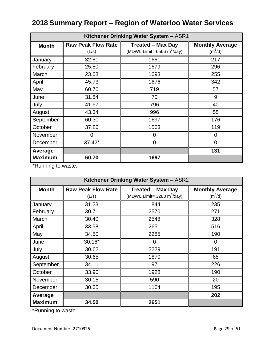| Kitchener Drinking Water System - ASR1 |                                    |                                                           |                                     |
|----------------------------------------|------------------------------------|-----------------------------------------------------------|-------------------------------------|
| <b>Month</b>                           | <b>Raw Peak Flow Rate</b><br>(L/s) | <b>Treated - Max Day</b><br>(MDWL Limit= 6566 m $3$ /day) | <b>Monthly Average</b><br>$(m^3/d)$ |
| January                                | 32.81                              | 1661                                                      | 217                                 |
| February                               | 25.80                              | 1679                                                      | 296                                 |
| March                                  | 23.68                              | 1693                                                      | 255                                 |
| April                                  | 45.73                              | 1676                                                      | 342                                 |
| May                                    | 60.70                              | 719                                                       | 57                                  |
| June                                   | 31.84                              | 70                                                        | 9                                   |
| July                                   | 41.97                              | 796                                                       | 40                                  |
| August                                 | 43.34                              | 996                                                       | 55                                  |
| September                              | 60.30                              | 1697                                                      | 176                                 |
| October                                | 37.86                              | 1563                                                      | 119                                 |
| November                               | 0                                  | 0                                                         | $\overline{0}$                      |
| December                               | 37.42*                             | $\overline{0}$                                            | 0                                   |
| Average                                |                                    |                                                           | 131                                 |
| <b>Maximum</b>                         | 60.70                              | 1697                                                      |                                     |

\*Running to waste.

| Kitchener Drinking Water System - ASR2 |                           |                                              |                        |
|----------------------------------------|---------------------------|----------------------------------------------|------------------------|
| <b>Month</b>                           | <b>Raw Peak Flow Rate</b> | <b>Treated - Max Day</b>                     | <b>Monthly Average</b> |
|                                        | (L/s)                     | (MDWL Limit= $3283 \text{ m}^3/\text{day}$ ) | $(m^3/d)$              |
| January                                | 31.23                     | 1844                                         | 235                    |
| February                               | 30.71                     | 2570                                         | 271                    |
| March                                  | 30.40                     | 2548                                         | 328                    |
| April                                  | 33.58                     | 2651                                         | 516                    |
| May                                    | 34.50                     | 2285                                         | 190                    |
| June                                   | 30.16*                    | 0                                            | 0                      |
| July                                   | 30.62                     | 2229                                         | 191                    |
| August                                 | 30.65                     | 1870                                         | 65                     |
| September                              | 34.11                     | 1971                                         | 226                    |
| October                                | 33.90                     | 1928                                         | 190                    |
| November                               | 30.15                     | 590                                          | 20                     |
| December                               | 30.05                     | 1164                                         | 195                    |
| Average                                |                           |                                              | 202                    |
| <b>Maximum</b>                         | 34.50                     | 2651                                         |                        |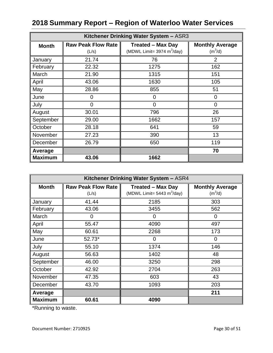| Kitchener Drinking Water System - ASR3 |                                    |                                                           |                                     |
|----------------------------------------|------------------------------------|-----------------------------------------------------------|-------------------------------------|
| <b>Month</b>                           | <b>Raw Peak Flow Rate</b><br>(L/s) | <b>Treated - Max Day</b><br>(MDWL Limit= 3974 $m^3$ /day) | <b>Monthly Average</b><br>$(m^3/d)$ |
| January                                | 21.74                              | 76                                                        | 2                                   |
| February                               | 22.32                              | 1275                                                      | 162                                 |
| March                                  | 21.90                              | 1315                                                      | 151                                 |
| April                                  | 43.06                              | 1630                                                      | 105                                 |
| May                                    | 28.86                              | 855                                                       | 51                                  |
| June                                   | 0                                  | 0                                                         | 0                                   |
| July                                   | $\overline{0}$                     | $\overline{0}$                                            | $\overline{0}$                      |
| August                                 | 30.01                              | 796                                                       | 26                                  |
| September                              | 29.00                              | 1662                                                      | 157                                 |
| October                                | 28.18                              | 641                                                       | 59                                  |
| November                               | 27.23                              | 390                                                       | 13                                  |
| December                               | 26.79                              | 650                                                       | 119                                 |
| Average                                |                                    |                                                           | 70                                  |
| <b>Maximum</b>                         | 43.06                              | 1662                                                      |                                     |

| Kitchener Drinking Water System - ASR4 |                           |                                              |                        |
|----------------------------------------|---------------------------|----------------------------------------------|------------------------|
| <b>Month</b>                           | <b>Raw Peak Flow Rate</b> | <b>Treated - Max Day</b>                     | <b>Monthly Average</b> |
|                                        | (L/s)                     | (MDWL Limit= $5443 \text{ m}^3/\text{day}$ ) | (m <sup>3</sup> /d)    |
| January                                | 41.44                     | 2185                                         | 303                    |
| February                               | 43.06                     | 3455                                         | 562                    |
| March                                  | $\overline{0}$            | $\Omega$                                     | $\overline{0}$         |
| April                                  | 55.47                     | 4090                                         | 497                    |
| May                                    | 60.61                     | 2268                                         | 173                    |
| June                                   | 52.73*                    | 0                                            | 0                      |
| July                                   | 55.10                     | 1374                                         | 146                    |
| August                                 | 56.63                     | 1402                                         | 48                     |
| September                              | 46.00                     | 3250                                         | 298                    |
| October                                | 42.92                     | 2704                                         | 263                    |
| November                               | 47.35                     | 603                                          | 43                     |
| December                               | 43.70                     | 1093                                         | 203                    |
| Average                                |                           |                                              | 211                    |
| <b>Maximum</b>                         | 60.61                     | 4090                                         |                        |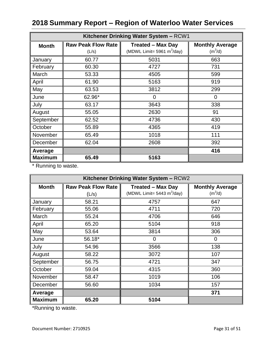| Kitchener Drinking Water System - RCW1 |                                    |                                                           |                                     |
|----------------------------------------|------------------------------------|-----------------------------------------------------------|-------------------------------------|
| <b>Month</b>                           | <b>Raw Peak Flow Rate</b><br>(L/s) | <b>Treated - Max Day</b><br>(MDWL Limit= 5961 $m^3$ /day) | <b>Monthly Average</b><br>$(m^3/d)$ |
| January                                | 60.77                              | 5031                                                      | 663                                 |
| February                               | 60.30                              | 4727                                                      | 731                                 |
| March                                  | 53.33                              | 4505                                                      | 599                                 |
| April                                  | 61.90                              | 5163                                                      | 919                                 |
| May                                    | 63.53                              | 3812                                                      | 299                                 |
| June                                   | 62.96*                             | 0                                                         | 0                                   |
| July                                   | 63.17                              | 3643                                                      | 338                                 |
| August                                 | 55.05                              | 2630                                                      | 91                                  |
| September                              | 62.52                              | 4736                                                      | 430                                 |
| October                                | 55.89                              | 4365                                                      | 419                                 |
| November                               | 65.49                              | 1018                                                      | 111                                 |
| December                               | 62.04                              | 2608                                                      | 392                                 |
| Average                                |                                    |                                                           | 416                                 |
| <b>Maximum</b>                         | 65.49                              | 5163                                                      |                                     |

\* Running to waste.

| Kitchener Drinking Water System - RCW2 |                           |                                              |                        |
|----------------------------------------|---------------------------|----------------------------------------------|------------------------|
| <b>Month</b>                           | <b>Raw Peak Flow Rate</b> | <b>Treated - Max Day</b>                     | <b>Monthly Average</b> |
|                                        | (L/s)                     | (MDWL Limit= $5443 \text{ m}^3/\text{day}$ ) | $(m^3/d)$              |
| January                                | 58.21                     | 4757                                         | 647                    |
| February                               | 55.06                     | 4711                                         | 720                    |
| March                                  | 55.24                     | 4706                                         | 646                    |
| April                                  | 65.20                     | 5104                                         | 918                    |
| May                                    | 53.64                     | 3814                                         | 306                    |
| June                                   | 56.18*                    | 0                                            | 0                      |
| July                                   | 54.96                     | 3566                                         | 138                    |
| August                                 | 58.22                     | 3072                                         | 107                    |
| September                              | 56.75                     | 4721                                         | 347                    |
| October                                | 59.04                     | 4315                                         | 360                    |
| November                               | 58.47                     | 1019                                         | 106                    |
| December                               | 56.60                     | 1034                                         | 157                    |
| Average                                |                           |                                              | 371                    |
| <b>Maximum</b>                         | 65.20                     | 5104                                         |                        |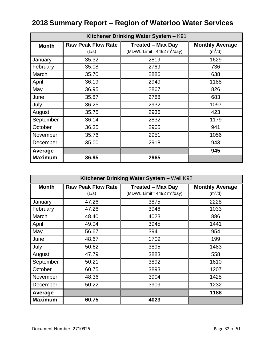| Kitchener Drinking Water System - K91 |                                    |                                                                          |                                     |
|---------------------------------------|------------------------------------|--------------------------------------------------------------------------|-------------------------------------|
| <b>Month</b>                          | <b>Raw Peak Flow Rate</b><br>(L/s) | <b>Treated - Max Day</b><br>(MDWL Limit= $4492 \text{ m}^3/\text{day}$ ) | <b>Monthly Average</b><br>$(m^3/d)$ |
| January                               | 35.32                              | 2819                                                                     | 1629                                |
| February                              | 35.08                              | 2769                                                                     | 736                                 |
| March                                 | 35.70                              | 2886                                                                     | 638                                 |
| April                                 | 36.19                              | 2949                                                                     | 1188                                |
| May                                   | 36.95                              | 2867                                                                     | 826                                 |
| June                                  | 35.87                              | 2788                                                                     | 683                                 |
| July                                  | 36.25                              | 2932                                                                     | 1097                                |
| August                                | 35.75                              | 2936                                                                     | 423                                 |
| September                             | 36.14                              | 2832                                                                     | 1179                                |
| October                               | 36.35                              | 2965                                                                     | 941                                 |
| November                              | 35.76                              | 2951                                                                     | 1056                                |
| December                              | 35.00                              | 2918                                                                     | 943                                 |
| Average                               |                                    |                                                                          | 945                                 |
| <b>Maximum</b>                        | 36.95                              | 2965                                                                     |                                     |

| Kitchener Drinking Water System - Well K92 |                           |                                              |                        |
|--------------------------------------------|---------------------------|----------------------------------------------|------------------------|
| <b>Month</b>                               | <b>Raw Peak Flow Rate</b> | <b>Treated - Max Day</b>                     | <b>Monthly Average</b> |
|                                            | (L/s)                     | (MDWL Limit= $4492 \text{ m}^3/\text{day}$ ) | $(m^3/d)$              |
| January                                    | 47.26                     | 3875                                         | 2228                   |
| February                                   | 47.26                     | 3946                                         | 1033                   |
| March                                      | 48.40                     | 4023                                         | 886                    |
| April                                      | 49.04                     | 3945                                         | 1441                   |
| May                                        | 56.67                     | 3941                                         | 954                    |
| June                                       | 48.67                     | 1709                                         | 199                    |
| July                                       | 50.62                     | 3895                                         | 1483                   |
| August                                     | 47.79                     | 3883                                         | 558                    |
| September                                  | 50.21                     | 3892                                         | 1610                   |
| October                                    | 60.75                     | 3893                                         | 1207                   |
| November                                   | 48.36                     | 3904                                         | 1425                   |
| December                                   | 50.22                     | 3909                                         | 1232                   |
| Average                                    |                           |                                              | 1188                   |
| <b>Maximum</b>                             | 60.75                     | 4023                                         |                        |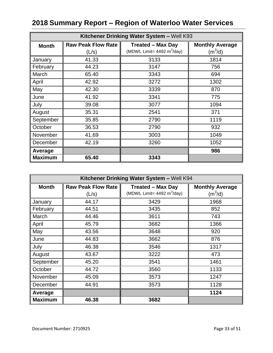| Kitchener Drinking Water System - Well K93 |                           |                                              |                        |
|--------------------------------------------|---------------------------|----------------------------------------------|------------------------|
| <b>Month</b>                               | <b>Raw Peak Flow Rate</b> | <b>Treated - Max Day</b>                     | <b>Monthly Average</b> |
|                                            | (L/s)                     | (MDWL Limit= $4492 \text{ m}^3/\text{day}$ ) | $(m^3/d)$              |
| January                                    | 41.33                     | 3133                                         | 1814                   |
| February                                   | 44.23                     | 3147                                         | 756                    |
| March                                      | 65.40                     | 3343                                         | 694                    |
| April                                      | 42.92                     | 3272                                         | 1302                   |
| May                                        | 42.30                     | 3339                                         | 870                    |
| June                                       | 41.92                     | 3341                                         | 775                    |
| July                                       | 39.08                     | 3077                                         | 1094                   |
| August                                     | 35.31                     | 2541                                         | 371                    |
| September                                  | 35.85                     | 2790                                         | 1119                   |
| October                                    | 36.53                     | 2790                                         | 932                    |
| November                                   | 41.69                     | 3003                                         | 1049                   |
| December                                   | 42.19                     | 3260                                         | 1052                   |
| Average                                    |                           |                                              | 986                    |
| <b>Maximum</b>                             | 65.40                     | 3343                                         |                        |

| Kitchener Drinking Water System - Well K94 |                           |                                              |                        |
|--------------------------------------------|---------------------------|----------------------------------------------|------------------------|
| <b>Month</b>                               | <b>Raw Peak Flow Rate</b> | <b>Treated - Max Day</b>                     | <b>Monthly Average</b> |
|                                            | (L/s)                     | (MDWL Limit= $4492 \text{ m}^3/\text{day}$ ) | (m <sup>3</sup> /d)    |
| January                                    | 44.17                     | 3429                                         | 1968                   |
| February                                   | 44.51                     | 3435                                         | 852                    |
| March                                      | 44.46                     | 3611                                         | 743                    |
| April                                      | 45.79                     | 3682                                         | 1366                   |
| May                                        | 43.56                     | 3648                                         | 920                    |
| June                                       | 44.83                     | 3662                                         | 876                    |
| July                                       | 46.38                     | 3546                                         | 1317                   |
| August                                     | 43.67                     | 3222                                         | 473                    |
| September                                  | 45.20                     | 3541                                         | 1461                   |
| October                                    | 44.72                     | 3560                                         | 1133                   |
| November                                   | 45.09                     | 3573                                         | 1247                   |
| December                                   | 44.91                     | 3573                                         | 1128                   |
| Average                                    |                           |                                              | 1124                   |
| <b>Maximum</b>                             | 46.38                     | 3682                                         |                        |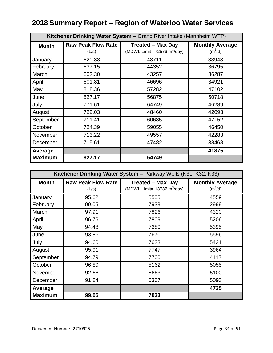|                | Kitchener Drinking Water System - Grand River Intake (Mannheim WTP) |                                                                           |                                     |  |
|----------------|---------------------------------------------------------------------|---------------------------------------------------------------------------|-------------------------------------|--|
| <b>Month</b>   | <b>Raw Peak Flow Rate</b><br>(L/s)                                  | <b>Treated - Max Day</b><br>(MDWL Limit= $72576 \text{ m}^3/\text{day}$ ) | <b>Monthly Average</b><br>$(m^3/d)$ |  |
| January        | 621.83                                                              | 43711                                                                     | 33948                               |  |
| February       | 637.15                                                              | 44352                                                                     | 36795                               |  |
| March          | 602.30                                                              | 43257                                                                     | 36287                               |  |
| April          | 601.81                                                              | 46696                                                                     | 34921                               |  |
| May            | 818.36                                                              | 57282                                                                     | 47102                               |  |
| June           | 827.17                                                              | 56875                                                                     | 50718                               |  |
| July           | 771.61                                                              | 64749                                                                     | 46289                               |  |
| August         | 722.03                                                              | 48460                                                                     | 42093                               |  |
| September      | 711.41                                                              | 60635                                                                     | 47152                               |  |
| October        | 724.39                                                              | 59055                                                                     | 46450                               |  |
| November       | 713.22                                                              | 49557                                                                     | 42283                               |  |
| December       | 715.61                                                              | 47482                                                                     | 38468                               |  |
| Average        |                                                                     |                                                                           | 41875                               |  |
| <b>Maximum</b> | 827.17                                                              | 64749                                                                     |                                     |  |

| Kitchener Drinking Water System - Parkway Wells (K31, K32, K33) |                           |                                               |                        |
|-----------------------------------------------------------------|---------------------------|-----------------------------------------------|------------------------|
| <b>Month</b>                                                    | <b>Raw Peak Flow Rate</b> | <b>Treated - Max Day</b>                      | <b>Monthly Average</b> |
|                                                                 | (L/s)                     | (MDWL Limit= $13737 \text{ m}^3/\text{day}$ ) | $(m^3/d)$              |
| January                                                         | 95.62                     | 5505                                          | 4559                   |
| February                                                        | 99.05                     | 7933                                          | 2999                   |
| March                                                           | 97.91                     | 7826                                          | 4320                   |
| April                                                           | 96.76                     | 7809                                          | 5206                   |
| May                                                             | 94.48                     | 7680                                          | 5395                   |
| June                                                            | 93.86                     | 7670                                          | 5596                   |
| July                                                            | 94.60                     | 7633                                          | 5421                   |
| August                                                          | 95.91                     | 7747                                          | 3964                   |
| September                                                       | 94.79                     | 7700                                          | 4117                   |
| October                                                         | 96.89                     | 5162                                          | 5055                   |
| November                                                        | 92.66                     | 5663                                          | 5100                   |
| December                                                        | 91.84                     | 5367                                          | 5093                   |
| Average                                                         |                           |                                               | 4735                   |
| <b>Maximum</b>                                                  | 99.05                     | 7933                                          |                        |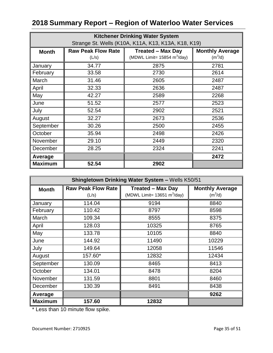| <b>Kitchener Drinking Water System</b> |                                                     |                                               |                        |  |
|----------------------------------------|-----------------------------------------------------|-----------------------------------------------|------------------------|--|
|                                        | Strange St. Wells (K10A, K11A, K13, K13A, K18, K19) |                                               |                        |  |
| <b>Month</b>                           | <b>Raw Peak Flow Rate</b>                           | <b>Treated - Max Day</b>                      | <b>Monthly Average</b> |  |
|                                        | (L/s)                                               | (MDWL Limit= $15854 \text{ m}^3/\text{day}$ ) | $(m^3/d)$              |  |
| January                                | 34.77                                               | 2875                                          | 2781                   |  |
| February                               | 33.58                                               | 2730                                          | 2614                   |  |
| March                                  | 31.46                                               | 2605                                          | 2487                   |  |
| April                                  | 32.33                                               | 2636                                          | 2487                   |  |
| May                                    | 42.27                                               | 2589                                          | 2268                   |  |
| June                                   | 51.52                                               | 2577                                          | 2523                   |  |
| July                                   | 52.54                                               | 2902                                          | 2521                   |  |
| August                                 | 32.27                                               | 2673                                          | 2536                   |  |
| September                              | 30.26                                               | 2500                                          | 2455                   |  |
| October                                | 35.94                                               | 2498                                          | 2426                   |  |
| November                               | 29.10                                               | 2449                                          | 2320                   |  |
| December                               | 28.25                                               | 2324                                          | 2241                   |  |
| Average                                |                                                     |                                               | 2472                   |  |
| <b>Maximum</b>                         | 52.54                                               | 2902                                          |                        |  |

| Shingletown Drinking Water System - Wells K50/51 |                           |                                               |                        |
|--------------------------------------------------|---------------------------|-----------------------------------------------|------------------------|
| <b>Month</b>                                     | <b>Raw Peak Flow Rate</b> | <b>Treated - Max Day</b>                      | <b>Monthly Average</b> |
|                                                  | (L/s)                     | (MDWL Limit= $13651 \text{ m}^3/\text{day}$ ) | $(m^3/d)$              |
| January                                          | 114.04                    | 9194                                          | 8840                   |
| February                                         | 110.42                    | 8797                                          | 8598                   |
| March                                            | 109.34                    | 8555                                          | 8375                   |
| April                                            | 128.03                    | 10325                                         | 8765                   |
| May                                              | 133.78                    | 10105                                         | 8840                   |
| June                                             | 144.92                    | 11490                                         | 10229                  |
| July                                             | 149.64                    | 12058                                         | 11546                  |
| August                                           | 157.60*                   | 12832                                         | 12434                  |
| September                                        | 130.09                    | 8465                                          | 8413                   |
| October                                          | 134.01                    | 8478                                          | 8204                   |
| November                                         | 131.59                    | 8801                                          | 8460                   |
| December                                         | 130.39                    | 8491                                          | 8438                   |
| Average                                          |                           |                                               | 9262                   |
| <b>Maximum</b>                                   | 157.60                    | 12832                                         |                        |

\* Less than 10 minute flow spike.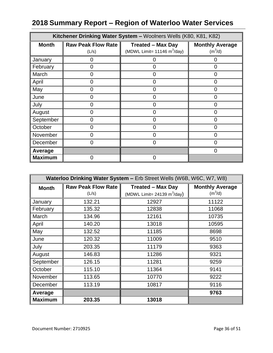|                | Kitchener Drinking Water System - Woolners Wells (K80, K81, K82) |                                               |                        |  |
|----------------|------------------------------------------------------------------|-----------------------------------------------|------------------------|--|
| <b>Month</b>   | Raw Peak Flow Rate                                               | <b>Treated - Max Day</b>                      | <b>Monthly Average</b> |  |
|                | (L/s)                                                            | (MDWL Limit= $11146 \text{ m}^3/\text{day}$ ) | $(m^3/d)$              |  |
| January        | 0                                                                | 0                                             | 0                      |  |
| February       | 0                                                                | 0                                             | $\Omega$               |  |
| March          | O                                                                | O                                             | $\Omega$               |  |
| April          | U                                                                | ი                                             | O                      |  |
| May            | ი                                                                | ი                                             |                        |  |
| June           | O                                                                | O                                             |                        |  |
| July           | O                                                                | O                                             | 0                      |  |
| August         | 0                                                                | 0                                             | 0                      |  |
| September      | O                                                                | O                                             | 0                      |  |
| October        | ი                                                                | ი                                             | n                      |  |
| November       | 0                                                                | $\Omega$                                      | O                      |  |
| December       | O                                                                | 0                                             |                        |  |
| Average        |                                                                  |                                               | 0                      |  |
| <b>Maximum</b> | ი                                                                | $\Omega$                                      |                        |  |

| Waterloo Drinking Water System - Erb Street Wells (W6B, W6C, W7, W8) |                           |                                |                        |
|----------------------------------------------------------------------|---------------------------|--------------------------------|------------------------|
| <b>Month</b>                                                         | <b>Raw Peak Flow Rate</b> | <b>Treated - Max Day</b>       | <b>Monthly Average</b> |
|                                                                      | (L/s)                     | (MDWL Limit= 24139 $m^3$ /day) | $(m^3/d)$              |
| January                                                              | 132.21                    | 12927                          | 11122                  |
| February                                                             | 135.32                    | 12838                          | 11068                  |
| March                                                                | 134.96                    | 12161                          | 10735                  |
| April                                                                | 140.20                    | 13018                          | 10595                  |
| May                                                                  | 132.52                    | 11185                          | 8698                   |
| June                                                                 | 120.32                    | 11009                          | 9510                   |
| July                                                                 | 203.35                    | 11179                          | 9363                   |
| August                                                               | 146.83                    | 11286                          | 9321                   |
| September                                                            | 126.15                    | 11281                          | 9259                   |
| October                                                              | 115.10                    | 11364                          | 9141                   |
| November                                                             | 113.65                    | 10770                          | 9222                   |
| December                                                             | 113.19                    | 10817                          | 9116                   |
| Average                                                              |                           |                                | 9763                   |
| <b>Maximum</b>                                                       | 203.35                    | 13018                          |                        |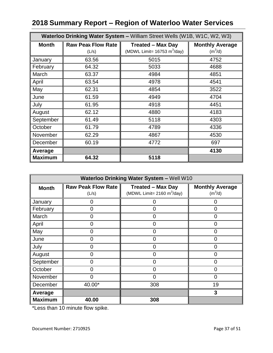| Waterloo Drinking Water System - William Street Wells (W1B, W1C, W2, W3) |                           |                                               |                        |
|--------------------------------------------------------------------------|---------------------------|-----------------------------------------------|------------------------|
| <b>Month</b>                                                             | <b>Raw Peak Flow Rate</b> | <b>Treated - Max Day</b>                      | <b>Monthly Average</b> |
|                                                                          | (L/s)                     | (MDWL Limit= $16753 \text{ m}^3/\text{day}$ ) | $(m^3/d)$              |
| January                                                                  | 63.56                     | 5015                                          | 4752                   |
| February                                                                 | 64.32                     | 5033                                          | 4688                   |
| March                                                                    | 63.37                     | 4984                                          | 4851                   |
| April                                                                    | 63.54                     | 4978                                          | 4541                   |
| May                                                                      | 62.31                     | 4854                                          | 3522                   |
| June                                                                     | 61.59                     | 4949                                          | 4704                   |
| July                                                                     | 61.95                     | 4918                                          | 4451                   |
| August                                                                   | 62.12                     | 4880                                          | 4183                   |
| September                                                                | 61.49                     | 5118                                          | 4303                   |
| October                                                                  | 61.79                     | 4789                                          | 4336                   |
| November                                                                 | 62.29                     | 4867                                          | 4530                   |
| December                                                                 | 60.19                     | 4772                                          | 697                    |
| Average                                                                  |                           |                                               | 4130                   |
| <b>Maximum</b>                                                           | 64.32                     | 5118                                          |                        |

| Waterloo Drinking Water System - Well W10 |                           |                               |                        |
|-------------------------------------------|---------------------------|-------------------------------|------------------------|
| <b>Month</b>                              | <b>Raw Peak Flow Rate</b> | <b>Treated - Max Day</b>      | <b>Monthly Average</b> |
|                                           | (L/s)                     | (MDWL Limit= 2160 $m^3$ /day) | $(m^3/d)$              |
| January                                   | 0                         | O                             | O                      |
| February                                  | 0                         | 0                             | 0                      |
| March                                     | 0                         | 0                             | 0                      |
| April                                     | O                         | O                             | 0                      |
| May                                       | 0                         | 0                             | 0                      |
| June                                      | 0                         | 0                             | Ω                      |
| July                                      | 0                         | 0                             | 0                      |
| August                                    | 0                         | $\overline{0}$                | 0                      |
| September                                 | 0                         | 0                             | O                      |
| October                                   | O                         | ი                             | ი                      |
| November                                  | O                         | 0                             | 0                      |
| December                                  | 40.00*                    | 308                           | 19                     |
| Average                                   |                           |                               | 3                      |
| <b>Maximum</b>                            | 40.00                     | 308                           |                        |

\*Less than 10 minute flow spike.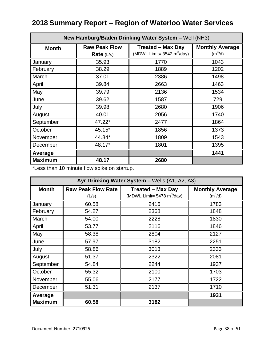| New Hamburg/Baden Drinking Water System - Well (NH3) |                      |                                              |                        |
|------------------------------------------------------|----------------------|----------------------------------------------|------------------------|
| <b>Month</b>                                         | <b>Raw Peak Flow</b> | <b>Treated - Max Day</b>                     | <b>Monthly Average</b> |
|                                                      | Rate $(L/s)$         | (MDWL Limit= $3542 \text{ m}^3/\text{day}$ ) | $(m^3/d)$              |
| January                                              | 35.93                | 1770                                         | 1043                   |
| February                                             | 38.29                | 1889                                         | 1202                   |
| March                                                | 37.01                | 2386                                         | 1498                   |
| April                                                | 39.84                | 2663                                         | 1463                   |
| May                                                  | 39.79                | 2136                                         | 1534                   |
| June                                                 | 39.62                | 1587                                         | 729                    |
| July                                                 | 39.98                | 2680                                         | 1906                   |
| August                                               | 40.01                | 2056                                         | 1740                   |
| September                                            | 47.22*               | 2477                                         | 1864                   |
| October                                              | 45.15*               | 1856                                         | 1373                   |
| November                                             | 44.34*               | 1809                                         | 1543                   |
| December                                             | 48.17*               | 1801                                         | 1395                   |
| Average                                              |                      |                                              | 1441                   |
| <b>Maximum</b>                                       | 48.17                | 2680                                         |                        |

\*Less than 10 minute flow spike on startup.

| Ayr Drinking Water System - Wells (A1, A2, A3) |                                    |                                                                          |                                     |
|------------------------------------------------|------------------------------------|--------------------------------------------------------------------------|-------------------------------------|
| <b>Month</b>                                   | <b>Raw Peak Flow Rate</b><br>(L/s) | <b>Treated - Max Day</b><br>(MDWL Limit= $5478 \text{ m}^3/\text{day}$ ) | <b>Monthly Average</b><br>$(m^3/d)$ |
| January                                        | 60.58                              | 2416                                                                     | 1783                                |
| February                                       | 54.27                              | 2368                                                                     | 1848                                |
| March                                          | 54.00                              | 2228                                                                     | 1830                                |
| April                                          | 53.77                              | 2116                                                                     | 1846                                |
| May                                            | 58.38                              | 2804                                                                     | 2127                                |
| June                                           | 57.97                              | 3182                                                                     | 2251                                |
| July                                           | 58.86                              | 3013                                                                     | 2333                                |
| August                                         | 51.37                              | 2322                                                                     | 2081                                |
| September                                      | 54.84                              | 2244                                                                     | 1937                                |
| October                                        | 55.32                              | 2100                                                                     | 1703                                |
| November                                       | 55.06                              | 2177                                                                     | 1722                                |
| December                                       | 51.31                              | 2137                                                                     | 1710                                |
| Average                                        |                                    |                                                                          | 1931                                |
| <b>Maximum</b>                                 | 60.58                              | 3182                                                                     |                                     |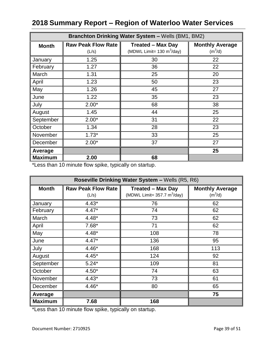| Branchton Drinking Water System - Wells (BM1, BM2) |                                    |                                                                         |                                     |
|----------------------------------------------------|------------------------------------|-------------------------------------------------------------------------|-------------------------------------|
| <b>Month</b>                                       | <b>Raw Peak Flow Rate</b><br>(L/s) | <b>Treated - Max Day</b><br>(MDWL Limit= $130 \text{ m}^3/\text{day}$ ) | <b>Monthly Average</b><br>$(m^3/d)$ |
| January                                            | 1.25                               | 30                                                                      | 22                                  |
| February                                           | 1.27                               | 36                                                                      | 22                                  |
| March                                              | 1.31                               | 25                                                                      | 20                                  |
| April                                              | 1.23                               | 50                                                                      | 23                                  |
| May                                                | 1.26                               | 45                                                                      | 27                                  |
| June                                               | 1.22                               | 35                                                                      | 23                                  |
| July                                               | $2.00*$                            | 68                                                                      | 38                                  |
| August                                             | 1.45                               | 44                                                                      | 25                                  |
| September                                          | $2.00*$                            | 31                                                                      | 22                                  |
| October                                            | 1.34                               | 28                                                                      | 23                                  |
| November                                           | $1.73*$                            | 33                                                                      | 25                                  |
| December                                           | $2.00*$                            | 37                                                                      | 27                                  |
| Average                                            |                                    |                                                                         | 25                                  |
| <b>Maximum</b>                                     | 2.00                               | 68                                                                      |                                     |

\*Less than 10 minute flow spike, typically on startup.

| Roseville Drinking Water System - Wells (R5, R6) |                           |                                               |                        |
|--------------------------------------------------|---------------------------|-----------------------------------------------|------------------------|
| <b>Month</b>                                     | <b>Raw Peak Flow Rate</b> | <b>Treated - Max Day</b>                      | <b>Monthly Average</b> |
|                                                  | (L/s)                     | (MDWL Limit= $357.7 \text{ m}^3/\text{day}$ ) | $(m^3/d)$              |
| January                                          | $4.43*$                   | 76                                            | 62                     |
| February                                         | $4.47*$                   | 74                                            | 62                     |
| March                                            | $4.48*$                   | 73                                            | 62                     |
| April                                            | $7.68*$                   | 71                                            | 62                     |
| May                                              | $4.48*$                   | 108                                           | 78                     |
| June                                             | $4.47*$                   | 136                                           | 95                     |
| July                                             | $4.46*$                   | 168                                           | 113                    |
| August                                           | $4.45*$                   | 124                                           | 92                     |
| September                                        | $5.24*$                   | 109                                           | 81                     |
| October                                          | $4.50*$                   | 74                                            | 63                     |
| November                                         | $4.43*$                   | 73                                            | 61                     |
| December                                         | $4.46*$                   | 80                                            | 65                     |
| Average                                          |                           |                                               | 75                     |
| <b>Maximum</b>                                   | 7.68                      | 168                                           |                        |

\*Less than 10 minute flow spike, typically on startup.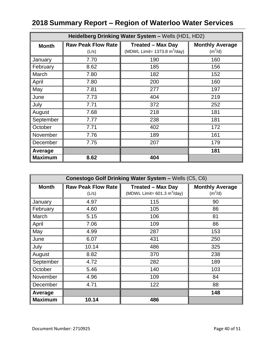| Heidelberg Drinking Water System - Wells (HD1, HD2) |                                    |                                                                            |                                     |
|-----------------------------------------------------|------------------------------------|----------------------------------------------------------------------------|-------------------------------------|
| <b>Month</b>                                        | <b>Raw Peak Flow Rate</b><br>(L/s) | <b>Treated - Max Day</b><br>(MDWL Limit= $1373.8 \text{ m}^3/\text{day}$ ) | <b>Monthly Average</b><br>$(m^3/d)$ |
| January                                             | 7.70                               | 190                                                                        | 160                                 |
| February                                            | 8.62                               | 185                                                                        | 156                                 |
| March                                               | 7.80                               | 182                                                                        | 152                                 |
| April                                               | 7.80                               | 200                                                                        | 160                                 |
| May                                                 | 7.81                               | 277                                                                        | 197                                 |
| June                                                | 7.73                               | 404                                                                        | 219                                 |
| July                                                | 7.71                               | 372                                                                        | 252                                 |
| August                                              | 7.68                               | 218                                                                        | 181                                 |
| September                                           | 7.77                               | 238                                                                        | 181                                 |
| October                                             | 7.71                               | 402                                                                        | 172                                 |
| November                                            | 7.76                               | 189                                                                        | 161                                 |
| December                                            | 7.75                               | 207                                                                        | 179                                 |
| Average                                             |                                    |                                                                            | 181                                 |
| <b>Maximum</b>                                      | 8.62                               | 404                                                                        |                                     |

| Conestogo Golf Drinking Water System - Wells (C5, C6) |                           |                                               |                        |
|-------------------------------------------------------|---------------------------|-----------------------------------------------|------------------------|
| <b>Month</b>                                          | <b>Raw Peak Flow Rate</b> | <b>Treated - Max Day</b>                      | <b>Monthly Average</b> |
|                                                       | (L/s)                     | (MDWL Limit= $601.3 \text{ m}^3/\text{day}$ ) | $(m^3/d)$              |
| January                                               | 4.97                      | 115                                           | 90                     |
| February                                              | 4.60                      | 105                                           | 86                     |
| March                                                 | 5.15                      | 106                                           | 81                     |
| April                                                 | 7.06                      | 109                                           | 86                     |
| May                                                   | 4.99                      | 287                                           | 153                    |
| June                                                  | 6.07                      | 431                                           | 250                    |
| July                                                  | 10.14                     | 486                                           | 325                    |
| August                                                | 8.82                      | 370                                           | 238                    |
| September                                             | 4.72                      | 282                                           | 189                    |
| October                                               | 5.46                      | 140                                           | 103                    |
| November                                              | 4.96                      | 109                                           | 84                     |
| December                                              | 4.71                      | 122                                           | 88                     |
| Average                                               |                           |                                               | 148                    |
| <b>Maximum</b>                                        | 10.14                     | 486                                           |                        |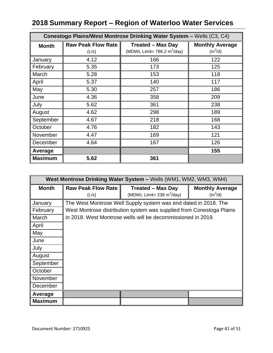| Conestogo Plains/West Montrose Drinking Water System - Wells (C3, C4) |                                    |                                                                     |                                     |
|-----------------------------------------------------------------------|------------------------------------|---------------------------------------------------------------------|-------------------------------------|
| <b>Month</b>                                                          | <b>Raw Peak Flow Rate</b><br>(L/s) | <b>Treated - Max Day</b><br>(MDWL Limit= 786.2 m <sup>3</sup> /day) | <b>Monthly Average</b><br>$(m^3/d)$ |
| January                                                               | 4.12                               | 166                                                                 | 122                                 |
| February                                                              | 5.35                               | 173                                                                 | 125                                 |
| March                                                                 | 5.28                               | 153                                                                 | 118                                 |
| April                                                                 | 5.37                               | 140                                                                 | 117                                 |
| May                                                                   | 5.30                               | 257                                                                 | 186                                 |
| June                                                                  | 4.36                               | 358                                                                 | 209                                 |
| July                                                                  | 5.62                               | 361                                                                 | 238                                 |
| August                                                                | 4.62                               | 298                                                                 | 189                                 |
| September                                                             | 4.67                               | 218                                                                 | 168                                 |
| October                                                               | 4.76                               | 182                                                                 | 143                                 |
| November                                                              | 4.47                               | 169                                                                 | 121                                 |
| December                                                              | 4.64                               | 167                                                                 | 126                                 |
| Average                                                               |                                    |                                                                     | 155                                 |
| <b>Maximum</b>                                                        | 5.62                               | 361                                                                 |                                     |

|                | West Montrose Drinking Water System – Wells (WM1, WM2, WM3, WM4) |                                                                      |                                     |  |
|----------------|------------------------------------------------------------------|----------------------------------------------------------------------|-------------------------------------|--|
| <b>Month</b>   | <b>Raw Peak Flow Rate</b><br>(L/s)                               | <b>Treated – Max Day</b><br>(MDWL Limit= 238 m <sup>3</sup> /day)    | <b>Monthly Average</b><br>$(m^3/d)$ |  |
| January        |                                                                  | The West Montrose Well Supply system was end dated in 2018. The      |                                     |  |
| February       |                                                                  | West Montrose distribution system was supplied from Conestoga Plains |                                     |  |
| March          |                                                                  | in 2018. West Montrose wells will be decommissioned in 2019.         |                                     |  |
| April          |                                                                  |                                                                      |                                     |  |
| May            |                                                                  |                                                                      |                                     |  |
| June           |                                                                  |                                                                      |                                     |  |
| July           |                                                                  |                                                                      |                                     |  |
| August         |                                                                  |                                                                      |                                     |  |
| September      |                                                                  |                                                                      |                                     |  |
| October        |                                                                  |                                                                      |                                     |  |
| November       |                                                                  |                                                                      |                                     |  |
| December       |                                                                  |                                                                      |                                     |  |
| Average        |                                                                  |                                                                      |                                     |  |
| <b>Maximum</b> |                                                                  |                                                                      |                                     |  |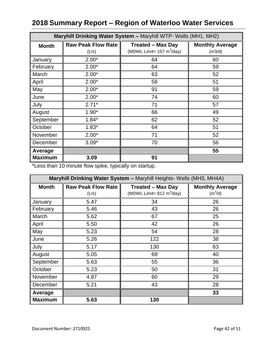| Maryhill Drinking Water System - Maryhill WTP- Wells (MH1, MH2) |                                    |                                                                         |                                  |
|-----------------------------------------------------------------|------------------------------------|-------------------------------------------------------------------------|----------------------------------|
| <b>Month</b>                                                    | <b>Raw Peak Flow Rate</b><br>(L/s) | <b>Treated - Max Day</b><br>(MDWL Limit= $157 \text{ m}^3/\text{day}$ ) | <b>Monthly Average</b><br>(m3/d) |
| January                                                         | $2.00*$                            | 64                                                                      | 60                               |
| February                                                        | $2.00*$                            | 64                                                                      | 59                               |
| March                                                           | $2.00*$                            | 63                                                                      | 52                               |
| April                                                           | $2.00*$                            | 58                                                                      | 51                               |
| May                                                             | $2.00*$                            | 91                                                                      | 59                               |
| June                                                            | $2.00*$                            | 74                                                                      | 60                               |
| July                                                            | $2.71*$                            | 71                                                                      | 57                               |
| August                                                          | $1.90*$                            | 66                                                                      | 49                               |
| September                                                       | $1.84*$                            | 62                                                                      | 52                               |
| October                                                         | $1.83*$                            | 64                                                                      | 51                               |
| November                                                        | $2.00*$                            | 71                                                                      | 52                               |
| December                                                        | $3.09*$                            | 70                                                                      | 56                               |
| Average                                                         |                                    |                                                                         | 55                               |
| <b>Maximum</b>                                                  | 3.09                               | 91                                                                      |                                  |

\*Less than 10 minute flow spike, typically on startup.

| Maryhill Drinking Water System - Maryhill Heights- Wells (MH3, MH4A) |                           |                                             |                        |
|----------------------------------------------------------------------|---------------------------|---------------------------------------------|------------------------|
| <b>Month</b>                                                         | <b>Raw Peak Flow Rate</b> | <b>Treated - Max Day</b>                    | <b>Monthly Average</b> |
|                                                                      | (L/s)                     | (MDWL Limit= $812 \text{ m}^3/\text{day}$ ) | $(m^3/d)$              |
| January                                                              | 5.47                      | 34                                          | 26                     |
| February                                                             | 5.46                      | 43                                          | 26                     |
| March                                                                | 5.62                      | 67                                          | 25                     |
| April                                                                | 5.50                      | 42                                          | 26                     |
| May                                                                  | 5.23                      | 54                                          | 28                     |
| June                                                                 | 5.26                      | 122                                         | 38                     |
| July                                                                 | 5.17                      | 130                                         | 63                     |
| August                                                               | 5.05                      | 69                                          | 40                     |
| September                                                            | 5.63                      | 55                                          | 36                     |
| October                                                              | 5.23                      | 50                                          | 31                     |
| November                                                             | 4.87                      | 60                                          | 29                     |
| December                                                             | 5.21                      | 43                                          | 28                     |
| Average                                                              |                           |                                             | 33                     |
| <b>Maximum</b>                                                       | 5.63                      | 130                                         |                        |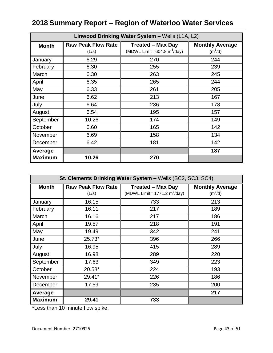| Linwood Drinking Water System - Wells (L1A, L2) |                                    |                                                                           |                                     |
|-------------------------------------------------|------------------------------------|---------------------------------------------------------------------------|-------------------------------------|
| <b>Month</b>                                    | <b>Raw Peak Flow Rate</b><br>(L/s) | <b>Treated - Max Day</b><br>(MDWL Limit= $604.8 \text{ m}^3/\text{day}$ ) | <b>Monthly Average</b><br>$(m^3/d)$ |
| January                                         | 6.29                               | 270                                                                       | 244                                 |
| February                                        | 6.30                               | 255                                                                       | 239                                 |
| March                                           | 6.30                               | 263                                                                       | 245                                 |
| April                                           | 6.35                               | 265                                                                       | 244                                 |
| May                                             | 6.33                               | 261                                                                       | 205                                 |
| June                                            | 6.62                               | 213                                                                       | 167                                 |
| July                                            | 6.64                               | 236                                                                       | 178                                 |
| August                                          | 6.54                               | 195                                                                       | 157                                 |
| September                                       | 10.26                              | 174                                                                       | 149                                 |
| October                                         | 6.60                               | 165                                                                       | 142                                 |
| November                                        | 6.69                               | 158                                                                       | 134                                 |
| December                                        | 6.42                               | 181                                                                       | 142                                 |
| Average                                         |                                    |                                                                           | 187                                 |
| <b>Maximum</b>                                  | 10.26                              | 270                                                                       |                                     |

| St. Clements Drinking Water System - Wells (SC2, SC3, SC4) |                           |                                                |                        |
|------------------------------------------------------------|---------------------------|------------------------------------------------|------------------------|
| <b>Month</b>                                               | <b>Raw Peak Flow Rate</b> | <b>Treated - Max Day</b>                       | <b>Monthly Average</b> |
|                                                            | (L/s)                     | (MDWL Limit= $1771.2 \text{ m}^3/\text{day}$ ) | $(m^3/d)$              |
| January                                                    | 16.15                     | 733                                            | 213                    |
| February                                                   | 16.11                     | 217                                            | 189                    |
| March                                                      | 16.16                     | 217                                            | 186                    |
| April                                                      | 19.57                     | 218                                            | 191                    |
| May                                                        | 19.49                     | 342                                            | 241                    |
| June                                                       | 25.73*                    | 396                                            | 266                    |
| July                                                       | 16.95                     | 415                                            | 289                    |
| August                                                     | 16.98                     | 289                                            | 220                    |
| September                                                  | 17.63                     | 349                                            | 223                    |
| October                                                    | 20.53*                    | 224                                            | 193                    |
| November                                                   | 29.41*                    | 226                                            | 186                    |
| December                                                   | 17.59                     | 235                                            | 200                    |
| Average                                                    |                           |                                                | 217                    |
| <b>Maximum</b>                                             | 29.41                     | 733                                            |                        |

\*Less than 10 minute flow spike.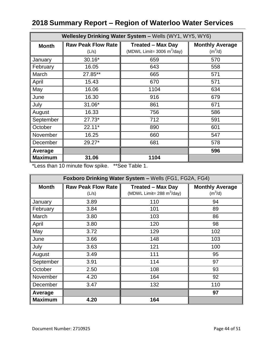|                | Wellesley Drinking Water System - Wells (WY1, WY5, WY6) |                                                                          |                                     |  |
|----------------|---------------------------------------------------------|--------------------------------------------------------------------------|-------------------------------------|--|
| <b>Month</b>   | <b>Raw Peak Flow Rate</b><br>(L/s)                      | <b>Treated - Max Day</b><br>(MDWL Limit= $3006 \text{ m}^3/\text{day}$ ) | <b>Monthly Average</b><br>$(m^3/d)$ |  |
| January        | 30.16*                                                  | 659                                                                      | 570                                 |  |
| February       | 16.05                                                   | 643                                                                      | 558                                 |  |
| March          | 27.85**                                                 | 665                                                                      | 571                                 |  |
| April          | 15.43                                                   | 670                                                                      | 571                                 |  |
| May            | 16.06                                                   | 1104                                                                     | 634                                 |  |
| June           | 16.30                                                   | 916                                                                      | 679                                 |  |
| July           | 31.06*                                                  | 861                                                                      | 671                                 |  |
| August         | 16.33                                                   | 756                                                                      | 586                                 |  |
| September      | $27.73*$                                                | 712                                                                      | 591                                 |  |
| October        | $22.11*$                                                | 890                                                                      | 601                                 |  |
| November       | 16.25                                                   | 660                                                                      | 547                                 |  |
| December       | 29.27*                                                  | 681                                                                      | 578                                 |  |
| Average        |                                                         |                                                                          | 596                                 |  |
| <b>Maximum</b> | 31.06                                                   | 1104                                                                     |                                     |  |

\*Less than 10 minute flow spike. \*\*See Table 1.

| Foxboro Drinking Water System - Wells (FG1, FG2A, FG4) |                           |                                             |                        |
|--------------------------------------------------------|---------------------------|---------------------------------------------|------------------------|
| <b>Month</b>                                           | <b>Raw Peak Flow Rate</b> | <b>Treated - Max Day</b>                    | <b>Monthly Average</b> |
|                                                        | (L/s)                     | (MDWL Limit= $288 \text{ m}^3/\text{day}$ ) | (m <sup>3</sup> /d)    |
| January                                                | 3.89                      | 110                                         | 94                     |
| February                                               | 3.84                      | 101                                         | 89                     |
| March                                                  | 3.80                      | 103                                         | 86                     |
| April                                                  | 3.80                      | 120                                         | 98                     |
| May                                                    | 3.72                      | 129                                         | 102                    |
| June                                                   | 3.66                      | 148                                         | 103                    |
| July                                                   | 3.63                      | 121                                         | 100                    |
| August                                                 | 3.49                      | 111                                         | 95                     |
| September                                              | 3.91                      | 114                                         | 97                     |
| October                                                | 2.50                      | 108                                         | 93                     |
| November                                               | 4.20                      | 164                                         | 92                     |
| December                                               | 3.47                      | 132                                         | 110                    |
| Average                                                |                           |                                             | 97                     |
| <b>Maximum</b>                                         | 4.20                      | 164                                         |                        |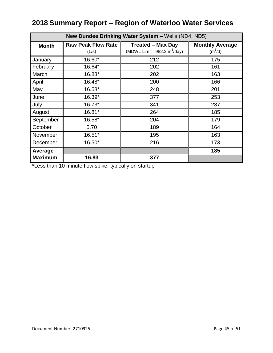| New Dundee Drinking Water System - Wells (ND4, ND5) |                                    |                                                                           |                                     |  |  |  |  |  |
|-----------------------------------------------------|------------------------------------|---------------------------------------------------------------------------|-------------------------------------|--|--|--|--|--|
| <b>Month</b>                                        | <b>Raw Peak Flow Rate</b><br>(L/s) | <b>Treated - Max Day</b><br>(MDWL Limit= $982.2 \text{ m}^3/\text{day}$ ) | <b>Monthly Average</b><br>$(m^3/d)$ |  |  |  |  |  |
| January                                             | 16.60*                             | 212                                                                       | 175                                 |  |  |  |  |  |
| February                                            | 16.64*                             | 202                                                                       | 161                                 |  |  |  |  |  |
| March                                               | 16.83*                             | 202                                                                       | 163                                 |  |  |  |  |  |
| April                                               | 16.48*                             | 200                                                                       | 166                                 |  |  |  |  |  |
| May                                                 | 16.53*                             | 248                                                                       | 201                                 |  |  |  |  |  |
| June                                                | 16.39*                             | 377                                                                       | 253                                 |  |  |  |  |  |
| July                                                | 16.73*                             | 341                                                                       | 237                                 |  |  |  |  |  |
| August                                              | 16.81*                             | 264                                                                       | 185                                 |  |  |  |  |  |
| September                                           | 16.58*                             | 204                                                                       | 179                                 |  |  |  |  |  |
| October                                             | 5.70                               | 189                                                                       | 164                                 |  |  |  |  |  |
| November                                            | 16.51*                             | 195                                                                       | 163                                 |  |  |  |  |  |
| December                                            | 16.50*                             | 216                                                                       | 173                                 |  |  |  |  |  |
| Average                                             |                                    |                                                                           | 185                                 |  |  |  |  |  |
| <b>Maximum</b>                                      | 16.83                              | 377                                                                       |                                     |  |  |  |  |  |

\*Less than 10 minute flow spike, typically on startup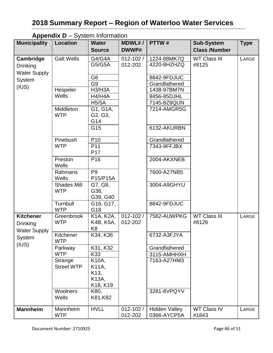| <b>Municipality</b> | <b>Appendix <math>D - Q</math></b> Sign information<br><b>Location</b> | <b>Water</b>                      | <b>MDWL#/</b> | PTTW#                | <b>Sub-System</b>    | <b>Type</b> |
|---------------------|------------------------------------------------------------------------|-----------------------------------|---------------|----------------------|----------------------|-------------|
|                     |                                                                        | <b>Source</b>                     | DWWP#         |                      | <b>Class /Number</b> |             |
| Cambridge           | <b>Galt Wells</b>                                                      | G4/G4A                            | $012 - 102/$  | 1224-88MK7Q          | <b>WT Class III</b>  | LARGE       |
| <b>Drinking</b>     |                                                                        | G5/G5A                            | 012-202       | 4220-8HZHZQ          | #8125                |             |
| <b>Water Supply</b> |                                                                        |                                   |               |                      |                      |             |
| System              |                                                                        | G <sub>6</sub>                    |               | 8842-9FDJUC          |                      |             |
| (IUS)               |                                                                        | G <sub>9</sub>                    |               | Grandfathered        |                      |             |
|                     | Hespeler                                                               | H3/H3A                            |               | 1438-97BM7N          |                      |             |
|                     | Wells                                                                  | H4/H4A                            |               | 8456-85DJHL          |                      |             |
|                     |                                                                        | <b>H5/5A</b>                      |               | 7145-8Z8QUN          |                      |             |
|                     | Middleton                                                              | G1, G1A,                          |               | 7214-AMGR5G          |                      |             |
|                     | <b>WTP</b>                                                             | G <sub>2</sub> , G <sub>3</sub> , |               |                      |                      |             |
|                     |                                                                        | G14                               |               |                      |                      |             |
|                     |                                                                        | G15                               |               | 6132-AKURBN          |                      |             |
|                     | Pinebush                                                               | P <sub>10</sub>                   |               | Grandfathered        |                      |             |
|                     | <b>WTP</b>                                                             | P11                               |               | 7343-9FFJBX          |                      |             |
|                     |                                                                        | P17                               |               |                      |                      |             |
|                     | Preston<br>Wells                                                       | P <sub>16</sub>                   |               | 2004-AKXNEB          |                      |             |
|                     | Rahmans                                                                | P <sub>9</sub>                    |               | 7600-A27NB5          |                      |             |
|                     | Wells                                                                  | P15/P15A                          |               |                      |                      |             |
|                     | <b>Shades Mill</b>                                                     | G7, G8,                           |               | 3004-A9GHYU          |                      |             |
|                     | <b>WTP</b>                                                             | G38,                              |               |                      |                      |             |
|                     |                                                                        | G39, G40                          |               |                      |                      |             |
|                     | Turnbull                                                               | G16, G17,                         |               | 8842-9FDJUC          |                      |             |
|                     | <b>WTP</b>                                                             | G18                               |               |                      |                      |             |
| <b>Kitchener</b>    | Greenbrook                                                             | K1A, K2A,                         | $012 - 102/$  | 7562-AUWPKG          | <b>WT Class III</b>  | LARGE       |
| <b>Drinking</b>     | <b>WTP</b>                                                             | K4B, K5A,                         | 012-202       |                      | #8126                |             |
| <b>Water Supply</b> |                                                                        | K <sub>8</sub>                    |               |                      |                      |             |
| System<br>(IUS)     | Kitchener<br><b>WTP</b>                                                | K34, K36                          |               | 6732-A3FJYA          |                      |             |
|                     | Parkway                                                                | K31, K32                          |               | Grandfathered        |                      |             |
|                     | <b>WTP</b>                                                             | K33                               |               | 3115-AMHHXH          |                      |             |
|                     | Strange                                                                | K10A,                             |               | 7163-A27HM3          |                      |             |
|                     | <b>Street WTP</b>                                                      | K11A,                             |               |                      |                      |             |
|                     |                                                                        | K <sub>13</sub> ,                 |               |                      |                      |             |
|                     |                                                                        | K13A,                             |               |                      |                      |             |
|                     |                                                                        | K18, K19                          |               |                      |                      |             |
|                     | <b>Woolners</b>                                                        | K80,                              |               | 3281-8VPQYV          |                      |             |
|                     | Wells                                                                  | K81, K82                          |               |                      |                      |             |
| <b>Mannheim</b>     | Mannheim                                                               | <b>HVLL</b>                       | $012 - 102/$  | <b>Hidden Valley</b> | <b>WT Class IV</b>   | LARGE       |
|                     | <b>WTP</b>                                                             |                                   | 012-202       | 0366-AYCP5A          | #1843                |             |

#### **Appendix D** – System Information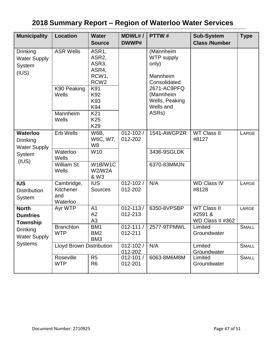| <b>Municipality</b>                                                                                     | <b>Location</b>                                               | <b>Water</b><br><b>Source</b>                                                                                                                | <b>MDWL#/</b><br>DWWP#  | PTTW#                                                                                                                                   | <b>Sub-System</b><br><b>Class /Number</b>         | <b>Type</b>  |
|---------------------------------------------------------------------------------------------------------|---------------------------------------------------------------|----------------------------------------------------------------------------------------------------------------------------------------------|-------------------------|-----------------------------------------------------------------------------------------------------------------------------------------|---------------------------------------------------|--------------|
| <b>Drinking</b><br><b>Water Supply</b><br>System<br>(IUS)                                               | <b>ASR Wells</b><br>K90 Peaking<br>Wells<br>Mannheim<br>Wells | ASR1,<br>ASR <sub>2</sub> ,<br>ASR3,<br>ASR4,<br>RCW1,<br>RCW <sub>2</sub><br>K91<br>K92<br>K93<br>K94<br>K <sub>21</sub><br>K <sub>25</sub> |                         | (Mannheim<br><b>WTP</b> supply<br>only)<br>Mannheim<br>Consolidated<br>2671-AC9PFQ<br>(Mannheim<br>Wells, Peaking<br>Wells and<br>ASRs) |                                                   |              |
| <b>Waterloo</b><br><b>Drinking</b><br><b>Water Supply</b><br>System<br>(IUS)                            | Erb Wells                                                     | K <sub>29</sub><br><b>W6B,</b><br>W6C, W7,<br>W <sub>8</sub>                                                                                 | $012 - 102/$<br>012-202 | 1541-AWGPZR                                                                                                                             | <b>WT Class II</b><br>#8127                       | LARGE        |
|                                                                                                         | Waterloo<br>Wells                                             | W10                                                                                                                                          |                         | 3436-9SGLDK                                                                                                                             |                                                   |              |
|                                                                                                         | William St.<br>Wells                                          | W1B/W1C<br>W2/W2A<br>& W3                                                                                                                    |                         | 6370-83MMJN                                                                                                                             |                                                   |              |
| <b>IUS</b><br><b>Distribution</b><br>System                                                             | Cambridge,<br>Kitchener<br>and<br>Waterloo                    | <b>IUS</b><br><b>Sources</b>                                                                                                                 | $012 - 102/$<br>012-202 | N/A                                                                                                                                     | <b>WD Class IV</b><br>#8128                       | LARGE        |
| <b>North</b><br><b>Dumfries</b><br>Township<br><b>Drinking</b><br><b>Water Supply</b><br><b>Systems</b> | Ayr WTP                                                       | A <sub>1</sub><br>A2<br>A <sub>3</sub>                                                                                                       | $012 - 113/$<br>012-213 | 6350-8VPSBP                                                                                                                             | <b>WT Class II</b><br>#2591 &<br>WD Class II #362 | LARGE        |
|                                                                                                         | <b>Branchton</b><br><b>WTP</b>                                | BM <sub>1</sub><br>BM <sub>2</sub><br>BM <sub>3</sub>                                                                                        | $012 - 111/$<br>012-211 | 2577-9TPMWL                                                                                                                             | Limited<br>Groundwater                            | <b>SMALL</b> |
|                                                                                                         | <b>Lloyd Brown Distribution</b>                               |                                                                                                                                              | $012 - 102/$<br>012-202 | N/A                                                                                                                                     | Limited<br>Groundwater                            | <b>SMALL</b> |
|                                                                                                         | Roseville<br><b>WTP</b>                                       | R <sub>5</sub><br>R <sub>6</sub>                                                                                                             | 012-101/<br>012-201     | 6063-8M6M8M                                                                                                                             | Limited<br>Groundwater                            | <b>SMALL</b> |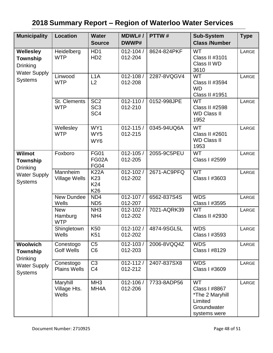| <b>Municipality</b>                                                                   | <b>Location</b>                     | <b>Water</b><br><b>Source</b>                         | <b>MDWL#/</b><br>DWWP#  | PTTW#       | <b>Sub-System</b><br><b>Class /Number</b>                                               | <b>Type</b> |
|---------------------------------------------------------------------------------------|-------------------------------------|-------------------------------------------------------|-------------------------|-------------|-----------------------------------------------------------------------------------------|-------------|
| <b>Wellesley</b><br><b>Township</b><br><b>Drinking</b>                                | Heidelberg<br><b>WTP</b>            | H <sub>D</sub> 1<br>H <sub>D</sub> 2                  | $012 - 104/$<br>012-204 | 8624-824PKF | <b>WT</b><br>Class II #3101<br>Class II WD<br>3610                                      | LARGE       |
| <b>Water Supply</b><br><b>Systems</b>                                                 | Linwood<br><b>WTP</b>               | L1A<br>L2                                             | 012-108 /<br>012-208    | 2287-8VQGV4 | <b>WT</b><br>Class II #3594<br><b>WD</b><br>Class II #1951                              | LARGE       |
|                                                                                       | <b>St. Clements</b><br><b>WTP</b>   | SC <sub>2</sub><br>SC <sub>3</sub><br>SC <sub>4</sub> | $012 - 110/$<br>012-210 | 0152-998JPE | <b>WT</b><br>Class II #2598<br><b>WD Class II</b><br>1952                               | LARGE       |
|                                                                                       | Wellesley<br><b>WTP</b>             | WY1<br>WY <sub>5</sub><br>WY6                         | $012 - 115/$<br>012-215 | 0345-94UQ6A | <b>WT</b><br><b>Class II #2601</b><br><b>WD Class II</b><br>1953                        | LARGE       |
| <b>Wilmot</b><br>Township<br><b>Drinking</b><br><b>Water Supply</b><br><b>Systems</b> | Foxboro                             | <b>FG01</b><br>FG02A<br><b>FG04</b>                   | $012 - 105/$<br>012-205 | 2055-9C5PEU | <b>WT</b><br>Class I #2599                                                              | LARGE       |
|                                                                                       | Mannheim<br><b>Village Wells</b>    | <b>K22A</b><br>K <sub>23</sub><br>K24<br>K26          | $012 - 102/$<br>012-202 | 2671-AC9PFQ | <b>WT</b><br>Class I #3603                                                              | LARGE       |
|                                                                                       | New Dundee<br>Wells                 | ND4<br>ND <sub>5</sub>                                | $012 - 107/$<br>012-207 | 6562-837S4S | <b>WDS</b><br>Class I #3595                                                             | LARGE       |
|                                                                                       | <b>New</b><br>Hamburg<br><b>WTP</b> | NH <sub>3</sub><br>NH <sub>4</sub>                    | $012 - 102/$<br>012-202 | 7021-AQRK39 | <b>WT</b><br>Class II #2930                                                             | LARGE       |
|                                                                                       | Shingletown<br>Wells                | K <sub>50</sub><br>K <sub>51</sub>                    | $012 - 102/$<br>012-202 | 4874-9SGL5L | <b>WDS</b><br>Class I #3593                                                             | LARGE       |
| <b>Woolwich</b><br>Township<br><b>Drinking</b>                                        | Conestogo<br><b>Golf Wells</b>      | C <sub>5</sub><br>C <sub>6</sub>                      | $012 - 103/$<br>012-203 | 2006-8VQQ4Z | <b>WDS</b><br>Class I #8129                                                             | LARGE       |
| <b>Water Supply</b><br><b>Systems</b>                                                 | Conestogo<br><b>Plains Wells</b>    | C <sub>3</sub><br>C <sub>4</sub>                      | $012 - 112/$<br>012-212 | 2407-837SX8 | <b>WDS</b><br>Class I #3609                                                             | LARGE       |
|                                                                                       | Maryhill<br>Village Hts.<br>Wells   | MH <sub>3</sub><br>MH <sub>4</sub> A                  | 012-106 /<br>012-206    | 7733-8ADP56 | <b>WT</b><br>Class I #8867<br>*The 2 Maryhill<br>Limited<br>Groundwater<br>systems were | LARGE       |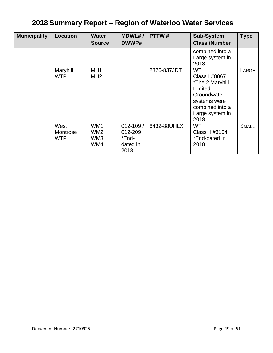| <b>Municipality</b> | <b>Location</b>                | <b>Water</b><br><b>Source</b>      | MDWL# /<br>DWWP#                                     | PTTW#       | <b>Sub-System</b><br><b>Class /Number</b>                                                                                             | <b>Type</b>  |
|---------------------|--------------------------------|------------------------------------|------------------------------------------------------|-------------|---------------------------------------------------------------------------------------------------------------------------------------|--------------|
|                     |                                |                                    |                                                      |             | combined into a<br>Large system in<br>2018                                                                                            |              |
|                     | Maryhill<br><b>WTP</b>         | MH <sub>1</sub><br>MH <sub>2</sub> |                                                      | 2876-837JDT | <b>WT</b><br>Class I #8867<br>*The 2 Maryhill<br>Limited<br>Groundwater<br>systems were<br>combined into a<br>Large system in<br>2018 | LARGE        |
|                     | West<br>Montrose<br><b>WTP</b> | WM1,<br>WM2,<br>WM3,<br>WM4        | $012 - 109/$<br>012-209<br>*End-<br>dated in<br>2018 | 6432-88UHLX | <b>WT</b><br>Class II #3104<br>*End-dated in<br>2018                                                                                  | <b>SMALL</b> |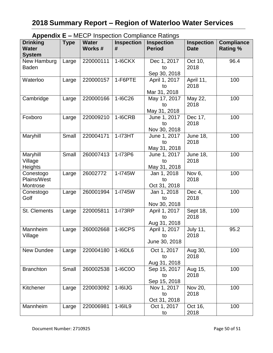|                                                  |             |                        |                        | $\Delta$ Appendix $E = \text{WIECF}$ inspection Compilative Kalings |                                  |                                      |
|--------------------------------------------------|-------------|------------------------|------------------------|---------------------------------------------------------------------|----------------------------------|--------------------------------------|
| <b>Drinking</b><br><b>Water</b><br><b>System</b> | <b>Type</b> | <b>Water</b><br>Works# | <b>Inspection</b><br># | <b>Inspection</b><br><b>Period</b>                                  | <b>Inspection</b><br><b>Date</b> | <b>Compliance</b><br><b>Rating %</b> |
| New Hamburg<br><b>Baden</b>                      | Large       | 220000111              | $1-16CKX$              | Dec 1, 2017<br>to<br>Sep 30, 2018                                   | Oct 10,<br>2018                  | 96.4                                 |
| Waterloo                                         | Large       | 220000157              | 1-F6PTE                | April 1, 2017<br>to<br>Mar 31, 2018                                 | April 11,<br>2018                | 100                                  |
| Cambridge                                        | Large       | 220000166              | 1-I6C26                | May 17, 2017<br>to<br>May 31, 2018                                  | May 22,<br>2018                  | 100                                  |
| Foxboro                                          | Large       | 220009210              | 1-I6CRB                | June 1, 2017<br>to<br>Nov 30, 2018                                  | Dec 17,<br>2018                  | 100                                  |
| Maryhill                                         | Small       | 220004171              | $1-I73HT$              | June 1, 2017<br>to<br>May 31, 2018                                  | <b>June 18,</b><br>2018          | 100                                  |
| Maryhill<br>Village<br><b>Heights</b>            | Small       | 260007413              | 1-I73P6                | June 1, 2017<br>to<br>May 31, 2018                                  | <b>June 18,</b><br>2018          | 100                                  |
| Conestogo<br><b>Plains/West</b><br>Montrose      | Large       | 26002772               | 1-I745W                | Jan 1, 2018<br>to<br>Oct 31, 2018                                   | Nov 6,<br>2018                   | 100                                  |
| Conestogo<br>Golf                                | Large       | 260001994              | 1-I745W                | Jan 1, 2018<br>to<br>Nov 30, 2018                                   | Dec 4,<br>2018                   | 100                                  |
| St. Clements                                     | Large       | 220005811              | 1-173RP                | April 1, 2017<br>to<br>Aug 31, 2018                                 | Sept 18,<br>2018                 | 100                                  |
| Mannheim<br>Village                              | Large       | 260002668              | <b>1-I6CPS</b>         | April 1, 2017<br>to to<br>June 30, 2018                             | <b>July 11,</b><br>2018          | 95.2                                 |
| New Dundee                                       | Large       | 220004180              | 1-16DL6                | Oct 1, 2017<br>to<br>Aug 31, 2018                                   | Aug 30,<br>2018                  | 100                                  |
| <b>Branchton</b>                                 | Small       | 260002538              | 1-I6C0O                | Sep 15, 2017<br>to<br>Sep 15, 2018                                  | Aug 15,<br>2018                  | 100                                  |
| Kitchener                                        | Large       | 220003092              | $1 - 16IJG$            | Nov 1, 2017<br>to<br>Oct 31, 2018                                   | Nov 20,<br>2018                  | 100                                  |
| Mannheim                                         | Large       | 220006981              | 1-16IL9                | Oct 1, 2017<br>to                                                   | Oct 16,<br>2018                  | 100                                  |

**Appendix E –** MECP Inspection Compliance Ratings